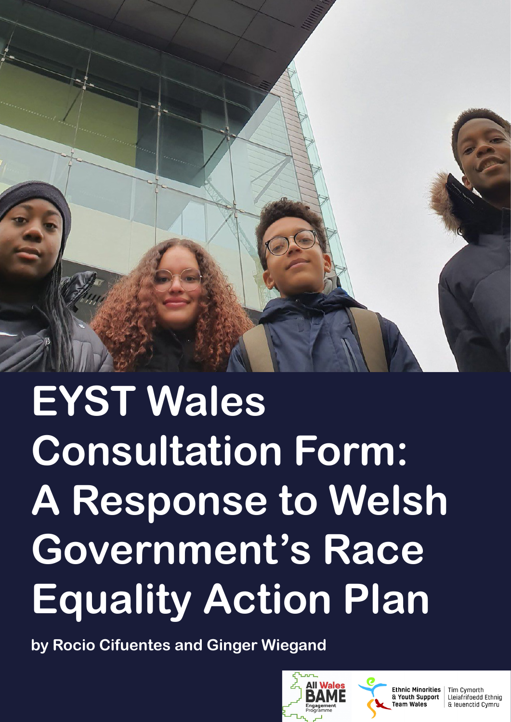

# **EYST Wales Consultation Form: A Response to Welsh Government's Race Equality Action Plan**

**by Rocio Cifuentes and Ginger Wiegand**





**Ethnic Minorities** & Youth Support Team Wales

Tîm Cymorth Lleiafrifoedd Ethnig & leuenctid Cymru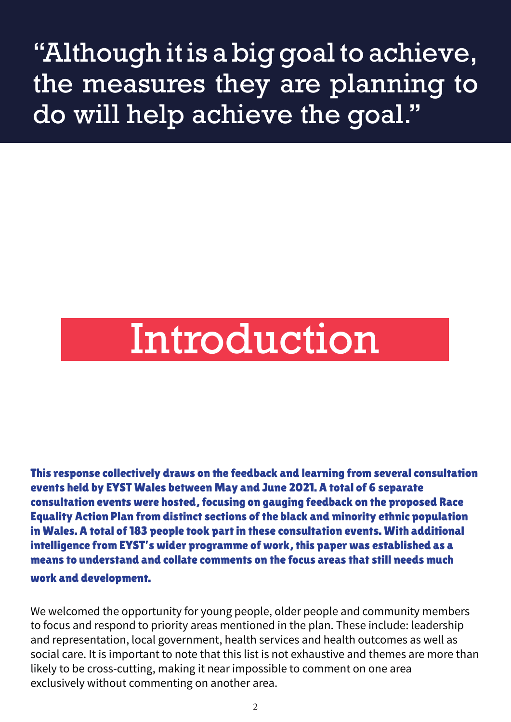# "Although it is a big goal to achieve, the measures they are planning to do will help achieve the goal."

# Introduction

This response collectively draws on the feedback and learning from several consultation events held by EYST Wales between May and June 2021. A total of 6 separate consultation events were hosted, focusing on gauging feedback on the proposed Race Equality Action Plan from distinct sections of the black and minority ethnic population in Wales. A total of 183 people took part in these consultation events. With additional intelligence from EYST's wider programme of work, this paper was established as a means to understand and collate comments on the focus areas that still needs much work and development.

We welcomed the opportunity for young people, older people and community members to focus and respond to priority areas mentioned in the plan. These include: leadership and representation, local government, health services and health outcomes as well as social care. It is important to note that this list is not exhaustive and themes are more than likely to be cross-cutting, making it near impossible to comment on one area exclusively without commenting on another area.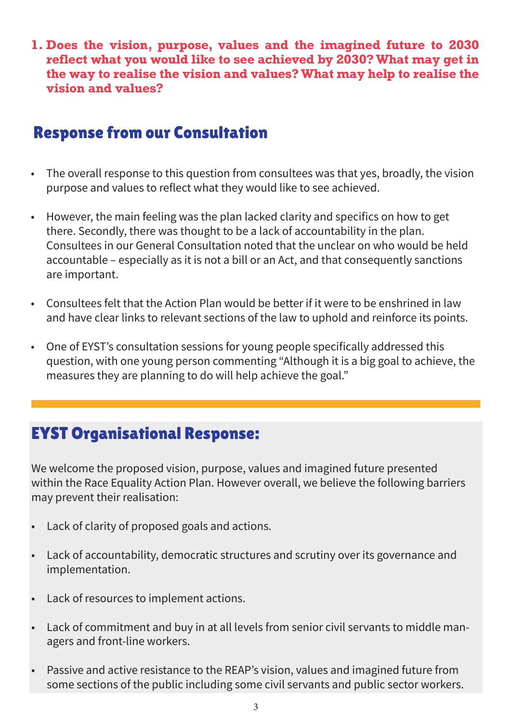**1. Does the vision, purpose, values and the imagined future to 2030 reflect what you would like to see achieved by 2030? What may get in the way to realise the vision and values? What may help to realise the vision and values?**

# Response from our Consultation

- The overall response to this question from consultees was that yes, broadly, the vision purpose and values to reflect what they would like to see achieved.
- However, the main feeling was the plan lacked clarity and specifics on how to get there. Secondly, there was thought to be a lack of accountability in the plan. Consultees in our General Consultation noted that the unclear on who would be held accountable – especially as it is not a bill or an Act, and that consequently sanctions are important.
- Consultees felt that the Action Plan would be better if it were to be enshrined in law and have clear links to relevant sections of the law to uphold and reinforce its points.
- One of EYST's consultation sessions for young people specifically addressed this question, with one young person commenting "Although it is a big goal to achieve, the measures they are planning to do will help achieve the goal."

# EYST Organisational Response:

We welcome the proposed vision, purpose, values and imagined future presented within the Race Equality Action Plan. However overall, we believe the following barriers may prevent their realisation:

- Lack of clarity of proposed goals and actions.
- Lack of accountability, democratic structures and scrutiny over its governance and implementation.
- Lack of resources to implement actions.
- Lack of commitment and buy in at all levels from senior civil servants to middle managers and front-line workers.
- Passive and active resistance to the REAP's vision, values and imagined future from some sections of the public including some civil servants and public sector workers.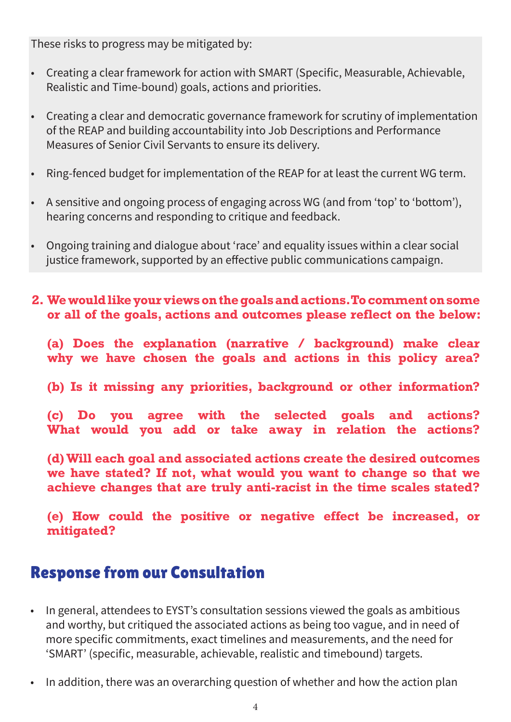These risks to progress may be mitigated by:

- Creating a clear framework for action with SMART (Specific, Measurable, Achievable, Realistic and Time-bound) goals, actions and priorities.
- Creating a clear and democratic governance framework for scrutiny of implementation of the REAP and building accountability into Job Descriptions and Performance Measures of Senior Civil Servants to ensure its delivery.
- Ring-fenced budget for implementation of the REAP for at least the current WG term.
- A sensitive and ongoing process of engaging across WG (and from 'top' to 'bottom'), hearing concerns and responding to critique and feedback.
- Ongoing training and dialogue about 'race' and equality issues within a clear social justice framework, supported by an effective public communications campaign.
- **2. We would like your views on the goals and actions. To comment on some or all of the goals, actions and outcomes please reflect on the below:**

**(a) Does the explanation (narrative / background) make clear why we have chosen the goals and actions in this policy area?**

**(b) Is it missing any priorities, background or other information?**

**(c) Do you agree with the selected goals and actions? What would you add or take away in relation the actions?**

**(d) Will each goal and associated actions create the desired outcomes we have stated? If not, what would you want to change so that we achieve changes that are truly anti-racist in the time scales stated?**

**(e) How could the positive or negative effect be increased, or mitigated?**

### Response from our Consultation

- In general, attendees to EYST's consultation sessions viewed the goals as ambitious and worthy, but critiqued the associated actions as being too vague, and in need of more specific commitments, exact timelines and measurements, and the need for 'SMART' (specific, measurable, achievable, realistic and timebound) targets.
- In addition, there was an overarching question of whether and how the action plan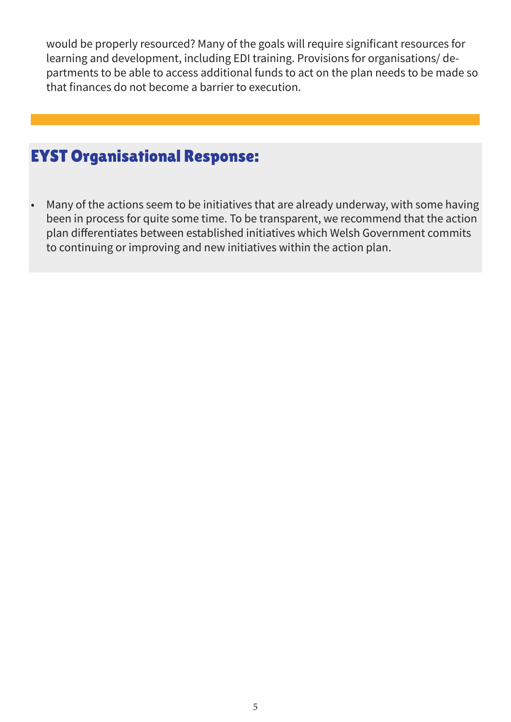would be properly resourced? Many of the goals will require significant resources for learning and development, including EDI training. Provisions for organisations/ departments to be able to access additional funds to act on the plan needs to be made so that finances do not become a barrier to execution.

# EYST Organisational Response:

• Many of the actions seem to be initiatives that are already underway, with some having been in process for quite some time. To be transparent, we recommend that the action plan differentiates between established initiatives which Welsh Government commits to continuing or improving and new initiatives within the action plan.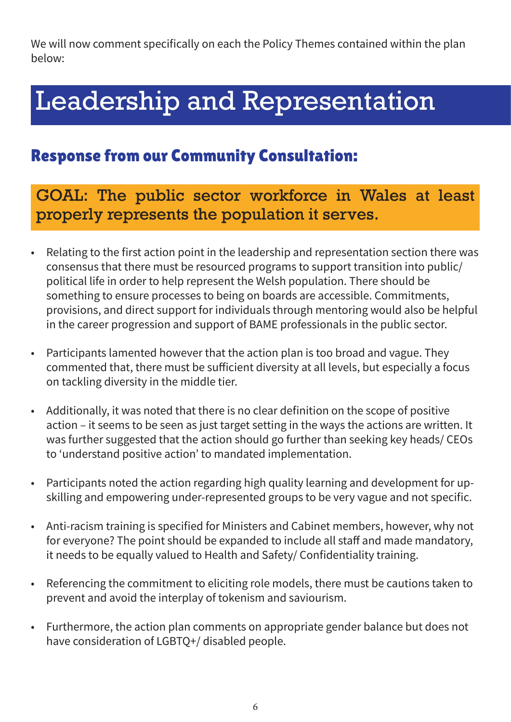We will now comment specifically on each the Policy Themes contained within the plan below:

# Leadership and Representation

# Response from our Community Consultation:

GOAL: The public sector workforce in Wales at least properly represents the population it serves.

- Relating to the first action point in the leadership and representation section there was consensus that there must be resourced programs to support transition into public/ political life in order to help represent the Welsh population. There should be something to ensure processes to being on boards are accessible. Commitments, provisions, and direct support for individuals through mentoring would also be helpful in the career progression and support of BAME professionals in the public sector.
- Participants lamented however that the action plan is too broad and vague. They commented that, there must be sufficient diversity at all levels, but especially a focus on tackling diversity in the middle tier.
- Additionally, it was noted that there is no clear definition on the scope of positive action – it seems to be seen as just target setting in the ways the actions are written. It was further suggested that the action should go further than seeking key heads/ CEOs to 'understand positive action' to mandated implementation.
- Participants noted the action regarding high quality learning and development for upskilling and empowering under-represented groups to be very vague and not specific.
- Anti-racism training is specified for Ministers and Cabinet members, however, why not for everyone? The point should be expanded to include all staff and made mandatory, it needs to be equally valued to Health and Safety/ Confidentiality training.
- Referencing the commitment to eliciting role models, there must be cautions taken to prevent and avoid the interplay of tokenism and saviourism.
- Furthermore, the action plan comments on appropriate gender balance but does not have consideration of LGBTQ+/ disabled people.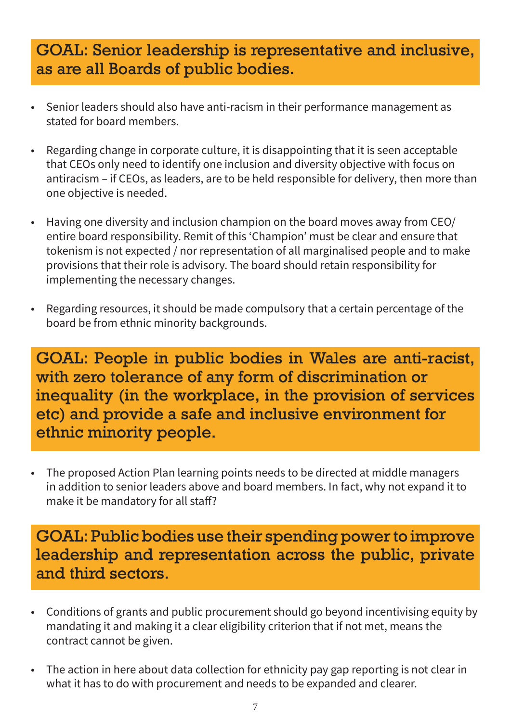### GOAL: Senior leadership is representative and inclusive, as are all Boards of public bodies.

- Senior leaders should also have anti-racism in their performance management as stated for board members.
- Regarding change in corporate culture, it is disappointing that it is seen acceptable that CEOs only need to identify one inclusion and diversity objective with focus on antiracism – if CEOs, as leaders, are to be held responsible for delivery, then more than one objective is needed.
- Having one diversity and inclusion champion on the board moves away from CEO/ entire board responsibility. Remit of this 'Champion' must be clear and ensure that tokenism is not expected / nor representation of all marginalised people and to make provisions that their role is advisory. The board should retain responsibility for implementing the necessary changes.
- Regarding resources, it should be made compulsory that a certain percentage of the board be from ethnic minority backgrounds.

GOAL: People in public bodies in Wales are anti-racist, with zero tolerance of any form of discrimination or inequality (in the workplace, in the provision of services etc) and provide a safe and inclusive environment for ethnic minority people.

• The proposed Action Plan learning points needs to be directed at middle managers in addition to senior leaders above and board members. In fact, why not expand it to make it be mandatory for all staff?

### GOAL: Public bodies use their spending power to improve leadership and representation across the public, private and third sectors.

- Conditions of grants and public procurement should go beyond incentivising equity by mandating it and making it a clear eligibility criterion that if not met, means the contract cannot be given.
- The action in here about data collection for ethnicity pay gap reporting is not clear in what it has to do with procurement and needs to be expanded and clearer.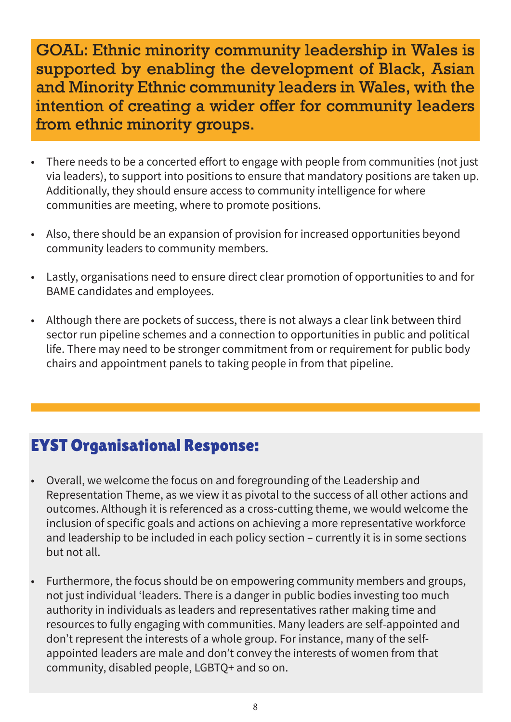GOAL: Ethnic minority community leadership in Wales is supported by enabling the development of Black, Asian and Minority Ethnic community leaders in Wales, with the intention of creating a wider offer for community leaders from ethnic minority groups.

- There needs to be a concerted effort to engage with people from communities (not just via leaders), to support into positions to ensure that mandatory positions are taken up. Additionally, they should ensure access to community intelligence for where communities are meeting, where to promote positions.
- Also, there should be an expansion of provision for increased opportunities beyond community leaders to community members.
- Lastly, organisations need to ensure direct clear promotion of opportunities to and for BAME candidates and employees.
- Although there are pockets of success, there is not always a clear link between third sector run pipeline schemes and a connection to opportunities in public and political life. There may need to be stronger commitment from or requirement for public body chairs and appointment panels to taking people in from that pipeline.

- Overall, we welcome the focus on and foregrounding of the Leadership and Representation Theme, as we view it as pivotal to the success of all other actions and outcomes. Although it is referenced as a cross-cutting theme, we would welcome the inclusion of specific goals and actions on achieving a more representative workforce and leadership to be included in each policy section – currently it is in some sections but not all.
- Furthermore, the focus should be on empowering community members and groups, not just individual 'leaders. There is a danger in public bodies investing too much authority in individuals as leaders and representatives rather making time and resources to fully engaging with communities. Many leaders are self-appointed and don't represent the interests of a whole group. For instance, many of the selfappointed leaders are male and don't convey the interests of women from that community, disabled people, LGBTQ+ and so on.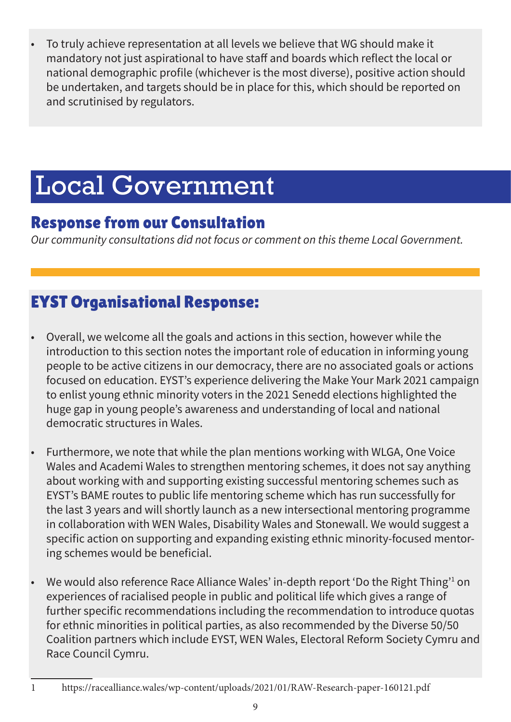• To truly achieve representation at all levels we believe that WG should make it mandatory not just aspirational to have staff and boards which reflect the local or national demographic profile (whichever is the most diverse), positive action should be undertaken, and targets should be in place for this, which should be reported on and scrutinised by regulators.

# Local Government

# Response from our Consultation

*Our community consultations did not focus or comment on this theme Local Government.*

- Overall, we welcome all the goals and actions in this section, however while the introduction to this section notes the important role of education in informing young people to be active citizens in our democracy, there are no associated goals or actions focused on education. EYST's experience delivering the Make Your Mark 2021 campaign to enlist young ethnic minority voters in the 2021 Senedd elections highlighted the huge gap in young people's awareness and understanding of local and national democratic structures in Wales.
- Furthermore, we note that while the plan mentions working with WLGA, One Voice Wales and Academi Wales to strengthen mentoring schemes, it does not say anything about working with and supporting existing successful mentoring schemes such as EYST's BAME routes to public life mentoring scheme which has run successfully for the last 3 years and will shortly launch as a new intersectional mentoring programme in collaboration with WEN Wales, Disability Wales and Stonewall. We would suggest a specific action on supporting and expanding existing ethnic minority-focused mentoring schemes would be beneficial.
- We would also reference Race Alliance Wales' in-depth report 'Do the Right Thing'<sup>1</sup> on experiences of racialised people in public and political life which gives a range of further specific recommendations including the recommendation to introduce quotas for ethnic minorities in political parties, as also recommended by the Diverse 50/50 Coalition partners which include EYST, WEN Wales, Electoral Reform Society Cymru and Race Council Cymru.
- 1 https://racealliance.wales/wp-content/uploads/2021/01/RAW-Research-paper-160121.pdf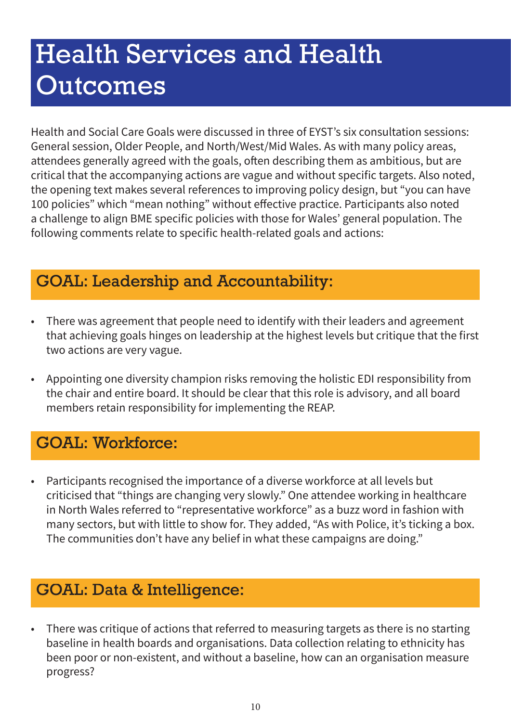# Health Services and Health **Outcomes**

Health and Social Care Goals were discussed in three of EYST's six consultation sessions: General session, Older People, and North/West/Mid Wales. As with many policy areas, attendees generally agreed with the goals, often describing them as ambitious, but are critical that the accompanying actions are vague and without specific targets. Also noted, the opening text makes several references to improving policy design, but "you can have 100 policies" which "mean nothing" without effective practice. Participants also noted a challenge to align BME specific policies with those for Wales' general population. The following comments relate to specific health-related goals and actions:

# GOAL: Leadership and Accountability:

- There was agreement that people need to identify with their leaders and agreement that achieving goals hinges on leadership at the highest levels but critique that the first two actions are very vague.
- Appointing one diversity champion risks removing the holistic EDI responsibility from the chair and entire board. It should be clear that this role is advisory, and all board members retain responsibility for implementing the REAP.

# GOAL: Workforce:

• Participants recognised the importance of a diverse workforce at all levels but criticised that "things are changing very slowly." One attendee working in healthcare in North Wales referred to "representative workforce" as a buzz word in fashion with many sectors, but with little to show for. They added, "As with Police, it's ticking a box. The communities don't have any belief in what these campaigns are doing."

# GOAL: Data & Intelligence:

• There was critique of actions that referred to measuring targets as there is no starting baseline in health boards and organisations. Data collection relating to ethnicity has been poor or non-existent, and without a baseline, how can an organisation measure progress?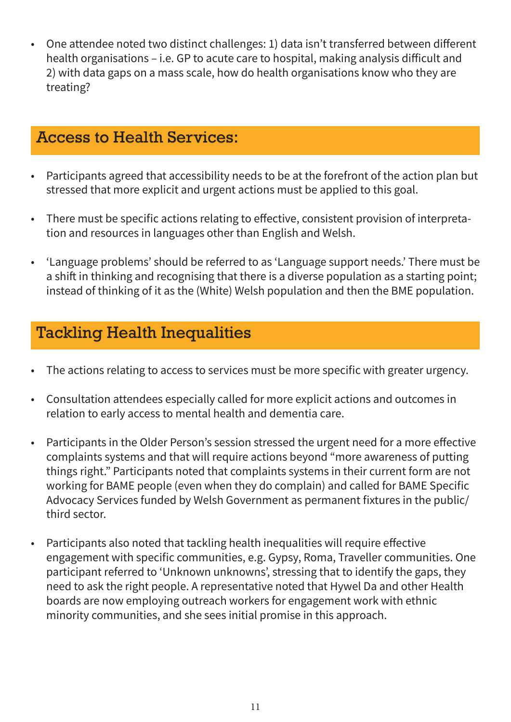• One attendee noted two distinct challenges: 1) data isn't transferred between different health organisations – i.e. GP to acute care to hospital, making analysis difficult and 2) with data gaps on a mass scale, how do health organisations know who they are treating?

### Access to Health Services:

- Participants agreed that accessibility needs to be at the forefront of the action plan but stressed that more explicit and urgent actions must be applied to this goal.
- There must be specific actions relating to effective, consistent provision of interpretation and resources in languages other than English and Welsh.
- 'Language problems' should be referred to as 'Language support needs.' There must be a shift in thinking and recognising that there is a diverse population as a starting point; instead of thinking of it as the (White) Welsh population and then the BME population.

# Tackling Health Inequalities

- The actions relating to access to services must be more specific with greater urgency.
- Consultation attendees especially called for more explicit actions and outcomes in relation to early access to mental health and dementia care.
- Participants in the Older Person's session stressed the urgent need for a more effective complaints systems and that will require actions beyond "more awareness of putting things right." Participants noted that complaints systems in their current form are not working for BAME people (even when they do complain) and called for BAME Specific Advocacy Services funded by Welsh Government as permanent fixtures in the public/ third sector.
- Participants also noted that tackling health inequalities will require effective engagement with specific communities, e.g. Gypsy, Roma, Traveller communities. One participant referred to 'Unknown unknowns', stressing that to identify the gaps, they need to ask the right people. A representative noted that Hywel Da and other Health boards are now employing outreach workers for engagement work with ethnic minority communities, and she sees initial promise in this approach.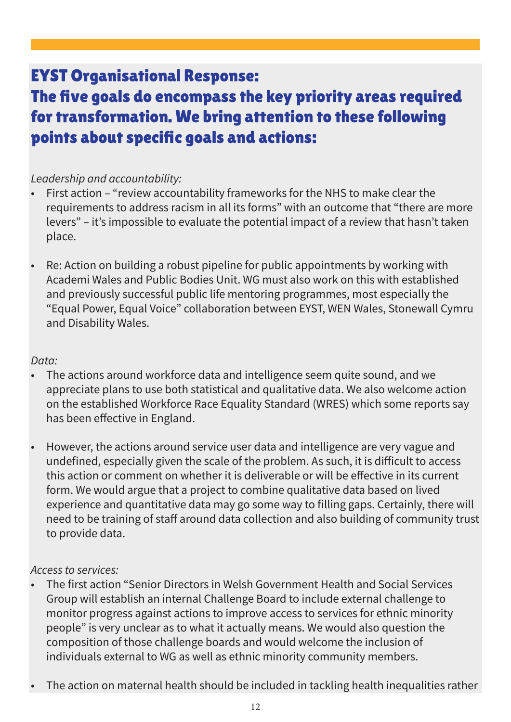# EYST Organisational Response:

# The five goals do encompass the key priority areas required for transformation. We bring attention to these following points about specific goals and actions:

#### *Leadership and accountability:*

- First action "review accountability frameworks for the NHS to make clear the requirements to address racism in all its forms" with an outcome that "there are more levers" – it's impossible to evaluate the potential impact of a review that hasn't taken place.
- Re: Action on building a robust pipeline for public appointments by working with Academi Wales and Public Bodies Unit. WG must also work on this with established and previously successful public life mentoring programmes, most especially the "Equal Power, Equal Voice" collaboration between EYST, WEN Wales, Stonewall Cymru and Disability Wales.

#### *Data:*

- The actions around workforce data and intelligence seem quite sound, and we appreciate plans to use both statistical and qualitative data. We also welcome action on the established Workforce Race Equality Standard (WRES) which some reports say has been effective in England.
- However, the actions around service user data and intelligence are very vague and undefined, especially given the scale of the problem. As such, it is difficult to access this action or comment on whether it is deliverable or will be effective in its current form. We would argue that a project to combine qualitative data based on lived experience and quantitative data may go some way to filling gaps. Certainly, there will need to be training of staff around data collection and also building of community trust to provide data.

#### *Access to services:*

- The first action "Senior Directors in Welsh Government Health and Social Services Group will establish an internal Challenge Board to include external challenge to monitor progress against actions to improve access to services for ethnic minority people" is very unclear as to what it actually means. We would also question the composition of those challenge boards and would welcome the inclusion of individuals external to WG as well as ethnic minority community members.
- The action on maternal health should be included in tackling health inequalities rather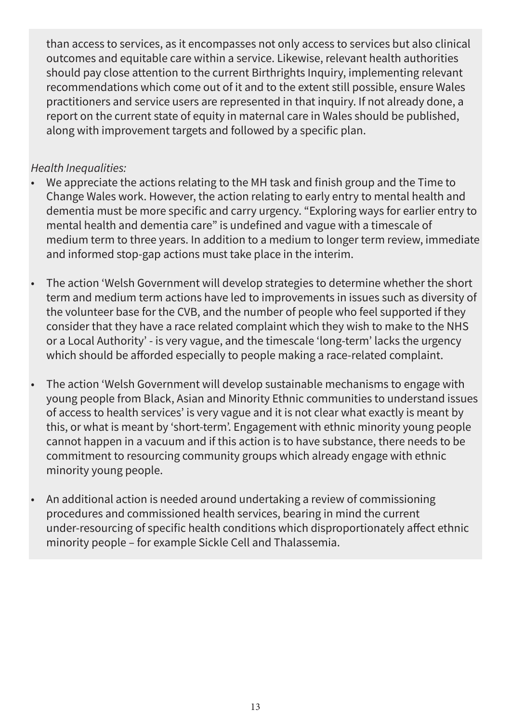than access to services, as it encompasses not only access to services but also clinical outcomes and equitable care within a service. Likewise, relevant health authorities should pay close attention to the current Birthrights Inquiry, implementing relevant recommendations which come out of it and to the extent still possible, ensure Wales practitioners and service users are represented in that inquiry. If not already done, a report on the current state of equity in maternal care in Wales should be published, along with improvement targets and followed by a specific plan.

#### *Health Inequalities:*

- We appreciate the actions relating to the MH task and finish group and the Time to Change Wales work. However, the action relating to early entry to mental health and dementia must be more specific and carry urgency. "Exploring ways for earlier entry to mental health and dementia care" is undefined and vague with a timescale of medium term to three years. In addition to a medium to longer term review, immediate and informed stop-gap actions must take place in the interim.
- The action 'Welsh Government will develop strategies to determine whether the short term and medium term actions have led to improvements in issues such as diversity of the volunteer base for the CVB, and the number of people who feel supported if they consider that they have a race related complaint which they wish to make to the NHS or a Local Authority' - is very vague, and the timescale 'long-term' lacks the urgency which should be afforded especially to people making a race-related complaint.
- The action 'Welsh Government will develop sustainable mechanisms to engage with young people from Black, Asian and Minority Ethnic communities to understand issues of access to health services' is very vague and it is not clear what exactly is meant by this, or what is meant by 'short-term'. Engagement with ethnic minority young people cannot happen in a vacuum and if this action is to have substance, there needs to be commitment to resourcing community groups which already engage with ethnic minority young people.
- An additional action is needed around undertaking a review of commissioning procedures and commissioned health services, bearing in mind the current under-resourcing of specific health conditions which disproportionately affect ethnic minority people – for example Sickle Cell and Thalassemia.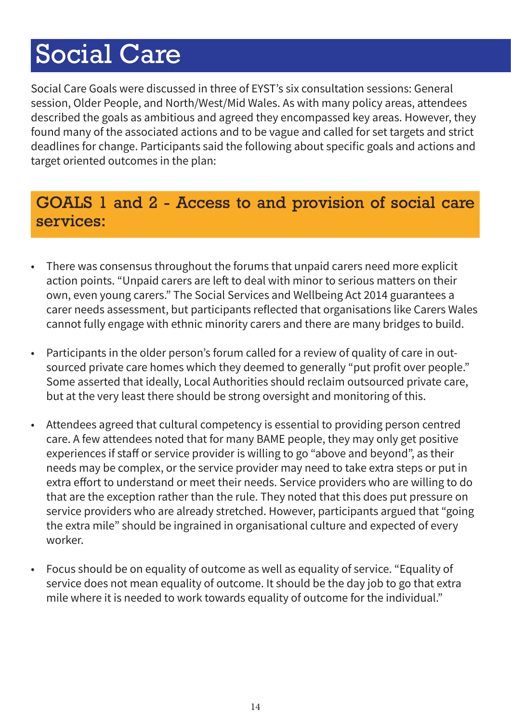# Social Care

Social Care Goals were discussed in three of EYST's six consultation sessions: General session, Older People, and North/West/Mid Wales. As with many policy areas, attendees described the goals as ambitious and agreed they encompassed key areas. However, they found many of the associated actions and to be vague and called for set targets and strict deadlines for change. Participants said the following about specific goals and actions and target oriented outcomes in the plan:

# GOALS 1 and 2 - Access to and provision of social care services:

- There was consensus throughout the forums that unpaid carers need more explicit action points. "Unpaid carers are left to deal with minor to serious matters on their own, even young carers." The Social Services and Wellbeing Act 2014 guarantees a carer needs assessment, but participants reflected that organisations like Carers Wales cannot fully engage with ethnic minority carers and there are many bridges to build.
- Participants in the older person's forum called for a review of quality of care in outsourced private care homes which they deemed to generally "put profit over people." Some asserted that ideally, Local Authorities should reclaim outsourced private care, but at the very least there should be strong oversight and monitoring of this.
- Attendees agreed that cultural competency is essential to providing person centred care. A few attendees noted that for many BAME people, they may only get positive experiences if staff or service provider is willing to go "above and beyond", as their needs may be complex, or the service provider may need to take extra steps or put in extra effort to understand or meet their needs. Service providers who are willing to do that are the exception rather than the rule. They noted that this does put pressure on service providers who are already stretched. However, participants argued that "going the extra mile" should be ingrained in organisational culture and expected of every worker.
- Focus should be on equality of outcome as well as equality of service. "Equality of service does not mean equality of outcome. It should be the day job to go that extra mile where it is needed to work towards equality of outcome for the individual."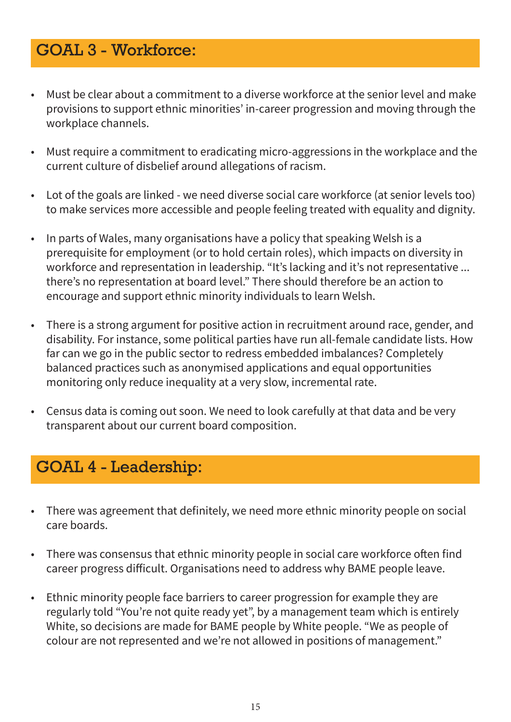## GOAL 3 - Workforce:

- Must be clear about a commitment to a diverse workforce at the senior level and make provisions to support ethnic minorities' in-career progression and moving through the workplace channels.
- Must require a commitment to eradicating micro-aggressions in the workplace and the current culture of disbelief around allegations of racism.
- Lot of the goals are linked we need diverse social care workforce (at senior levels too) to make services more accessible and people feeling treated with equality and dignity.
- In parts of Wales, many organisations have a policy that speaking Welsh is a prerequisite for employment (or to hold certain roles), which impacts on diversity in workforce and representation in leadership. "It's lacking and it's not representative ... there's no representation at board level." There should therefore be an action to encourage and support ethnic minority individuals to learn Welsh.
- There is a strong argument for positive action in recruitment around race, gender, and disability. For instance, some political parties have run all-female candidate lists. How far can we go in the public sector to redress embedded imbalances? Completely balanced practices such as anonymised applications and equal opportunities monitoring only reduce inequality at a very slow, incremental rate.
- Census data is coming out soon. We need to look carefully at that data and be very transparent about our current board composition.

### GOAL 4 - Leadership:

- There was agreement that definitely, we need more ethnic minority people on social care boards.
- There was consensus that ethnic minority people in social care workforce often find career progress difficult. Organisations need to address why BAME people leave.
- Ethnic minority people face barriers to career progression for example they are regularly told "You're not quite ready yet", by a management team which is entirely White, so decisions are made for BAME people by White people. "We as people of colour are not represented and we're not allowed in positions of management."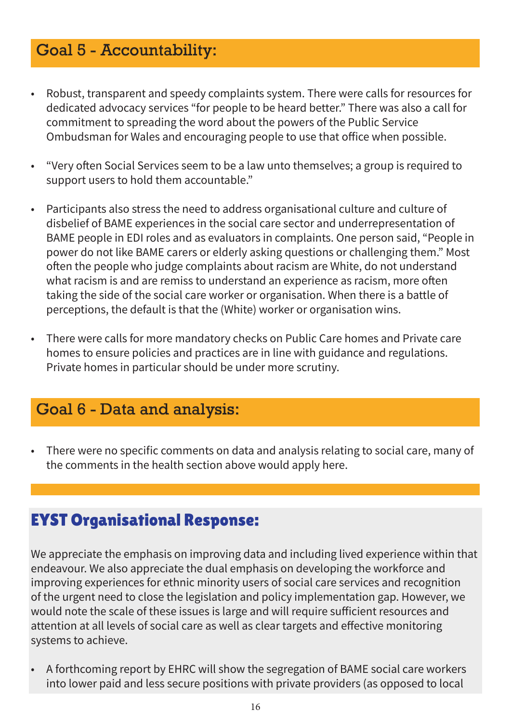## Goal 5 - Accountability:

- Robust, transparent and speedy complaints system. There were calls for resources for dedicated advocacy services "for people to be heard better." There was also a call for commitment to spreading the word about the powers of the Public Service Ombudsman for Wales and encouraging people to use that office when possible.
- "Very often Social Services seem to be a law unto themselves; a group is required to support users to hold them accountable."
- Participants also stress the need to address organisational culture and culture of disbelief of BAME experiences in the social care sector and underrepresentation of BAME people in EDI roles and as evaluators in complaints. One person said, "People in power do not like BAME carers or elderly asking questions or challenging them." Most often the people who judge complaints about racism are White, do not understand what racism is and are remiss to understand an experience as racism, more often taking the side of the social care worker or organisation. When there is a battle of perceptions, the default is that the (White) worker or organisation wins.
- There were calls for more mandatory checks on Public Care homes and Private care homes to ensure policies and practices are in line with guidance and regulations. Private homes in particular should be under more scrutiny.

### Goal 6 - Data and analysis:

• There were no specific comments on data and analysis relating to social care, many of the comments in the health section above would apply here.

### EYST Organisational Response:

We appreciate the emphasis on improving data and including lived experience within that endeavour. We also appreciate the dual emphasis on developing the workforce and improving experiences for ethnic minority users of social care services and recognition of the urgent need to close the legislation and policy implementation gap. However, we would note the scale of these issues is large and will require sufficient resources and attention at all levels of social care as well as clear targets and effective monitoring systems to achieve.

• A forthcoming report by EHRC will show the segregation of BAME social care workers into lower paid and less secure positions with private providers (as opposed to local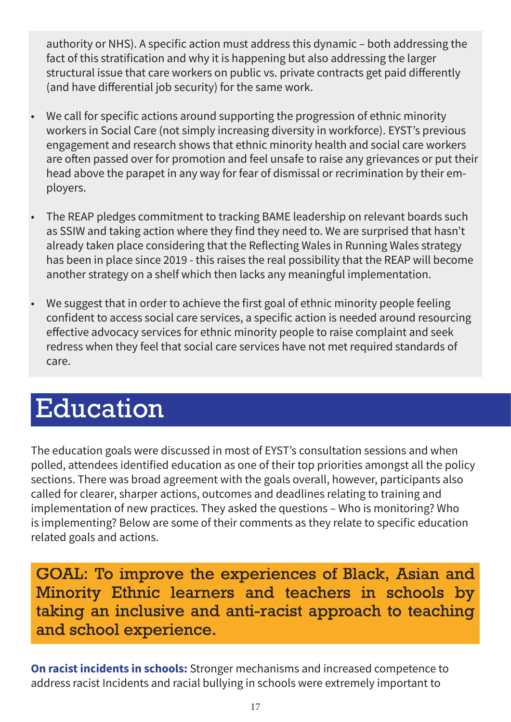authority or NHS). A specific action must address this dynamic – both addressing the fact of this stratification and why it is happening but also addressing the larger structural issue that care workers on public vs. private contracts get paid differently (and have differential job security) for the same work.

- We call for specific actions around supporting the progression of ethnic minority workers in Social Care (not simply increasing diversity in workforce). EYST's previous engagement and research shows that ethnic minority health and social care workers are often passed over for promotion and feel unsafe to raise any grievances or put their head above the parapet in any way for fear of dismissal or recrimination by their employers.
- The REAP pledges commitment to tracking BAME leadership on relevant boards such as SSIW and taking action where they find they need to. We are surprised that hasn't already taken place considering that the Reflecting Wales in Running Wales strategy has been in place since 2019 - this raises the real possibility that the REAP will become another strategy on a shelf which then lacks any meaningful implementation.
- We suggest that in order to achieve the first goal of ethnic minority people feeling confident to access social care services, a specific action is needed around resourcing effective advocacy services for ethnic minority people to raise complaint and seek redress when they feel that social care services have not met required standards of care.

# Education

The education goals were discussed in most of EYST's consultation sessions and when polled, attendees identified education as one of their top priorities amongst all the policy sections. There was broad agreement with the goals overall, however, participants also called for clearer, sharper actions, outcomes and deadlines relating to training and implementation of new practices. They asked the questions – Who is monitoring? Who is implementing? Below are some of their comments as they relate to specific education related goals and actions.

GOAL: To improve the experiences of Black, Asian and Minority Ethnic learners and teachers in schools by taking an inclusive and anti-racist approach to teaching and school experience.

**On racist incidents in schools:** Stronger mechanisms and increased competence to address racist Incidents and racial bullying in schools were extremely important to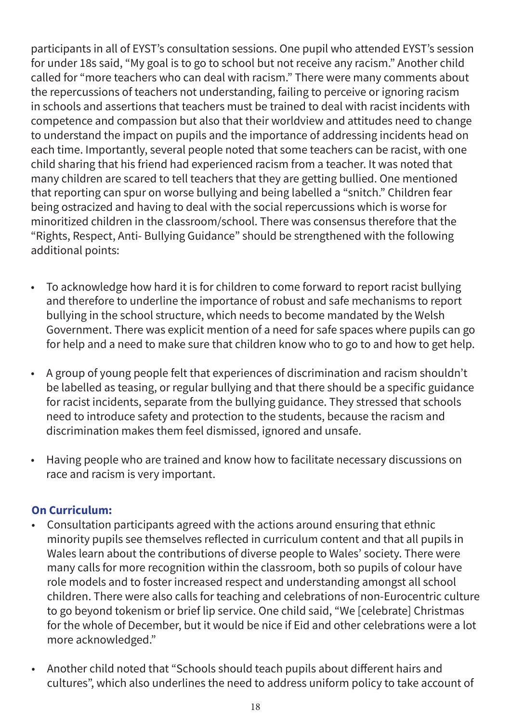participants in all of EYST's consultation sessions. One pupil who attended EYST's session for under 18s said, "My goal is to go to school but not receive any racism." Another child called for "more teachers who can deal with racism." There were many comments about the repercussions of teachers not understanding, failing to perceive or ignoring racism in schools and assertions that teachers must be trained to deal with racist incidents with competence and compassion but also that their worldview and attitudes need to change to understand the impact on pupils and the importance of addressing incidents head on each time. Importantly, several people noted that some teachers can be racist, with one child sharing that his friend had experienced racism from a teacher. It was noted that many children are scared to tell teachers that they are getting bullied. One mentioned that reporting can spur on worse bullying and being labelled a "snitch." Children fear being ostracized and having to deal with the social repercussions which is worse for minoritized children in the classroom/school. There was consensus therefore that the "Rights, Respect, Anti- Bullying Guidance" should be strengthened with the following additional points:

- To acknowledge how hard it is for children to come forward to report racist bullying and therefore to underline the importance of robust and safe mechanisms to report bullying in the school structure, which needs to become mandated by the Welsh Government. There was explicit mention of a need for safe spaces where pupils can go for help and a need to make sure that children know who to go to and how to get help.
- A group of young people felt that experiences of discrimination and racism shouldn't be labelled as teasing, or regular bullying and that there should be a specific guidance for racist incidents, separate from the bullying guidance. They stressed that schools need to introduce safety and protection to the students, because the racism and discrimination makes them feel dismissed, ignored and unsafe.
- Having people who are trained and know how to facilitate necessary discussions on race and racism is very important.

#### **On Curriculum:**

- Consultation participants agreed with the actions around ensuring that ethnic minority pupils see themselves reflected in curriculum content and that all pupils in Wales learn about the contributions of diverse people to Wales' society. There were many calls for more recognition within the classroom, both so pupils of colour have role models and to foster increased respect and understanding amongst all school children. There were also calls for teaching and celebrations of non-Eurocentric culture to go beyond tokenism or brief lip service. One child said, "We [celebrate] Christmas for the whole of December, but it would be nice if Eid and other celebrations were a lot more acknowledged."
- Another child noted that "Schools should teach pupils about different hairs and cultures", which also underlines the need to address uniform policy to take account of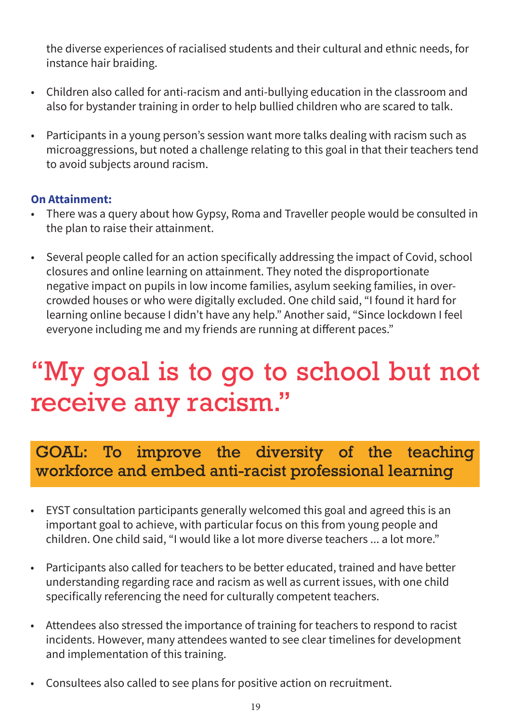the diverse experiences of racialised students and their cultural and ethnic needs, for instance hair braiding.

- Children also called for anti-racism and anti-bullying education in the classroom and also for bystander training in order to help bullied children who are scared to talk.
- Participants in a young person's session want more talks dealing with racism such as microaggressions, but noted a challenge relating to this goal in that their teachers tend to avoid subjects around racism.

#### **On Attainment:**

- There was a query about how Gypsy, Roma and Traveller people would be consulted in the plan to raise their attainment.
- Several people called for an action specifically addressing the impact of Covid, school closures and online learning on attainment. They noted the disproportionate negative impact on pupils in low income families, asylum seeking families, in overcrowded houses or who were digitally excluded. One child said, "I found it hard for learning online because I didn't have any help." Another said, "Since lockdown I feel everyone including me and my friends are running at different paces."

# "My goal is to go to school but not receive any racism."

# GOAL: To improve the diversity of the teaching workforce and embed anti-racist professional learning

- EYST consultation participants generally welcomed this goal and agreed this is an important goal to achieve, with particular focus on this from young people and children. One child said, "I would like a lot more diverse teachers ... a lot more."
- Participants also called for teachers to be better educated, trained and have better understanding regarding race and racism as well as current issues, with one child specifically referencing the need for culturally competent teachers.
- Attendees also stressed the importance of training for teachers to respond to racist incidents. However, many attendees wanted to see clear timelines for development and implementation of this training.
- Consultees also called to see plans for positive action on recruitment.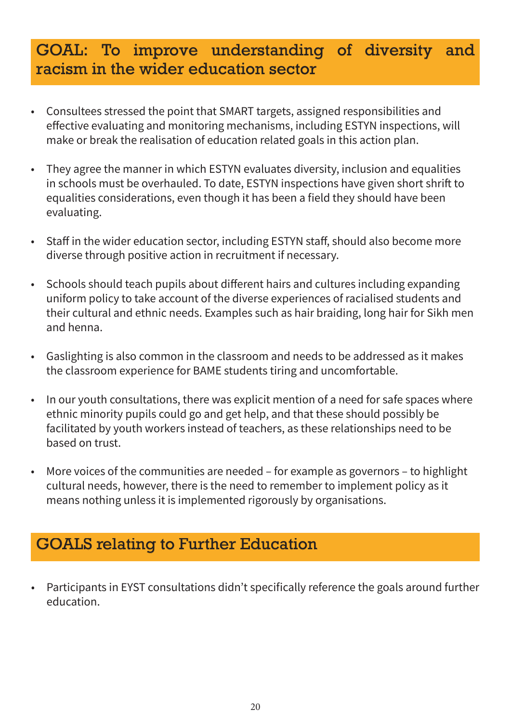### GOAL: To improve understanding of diversity and racism in the wider education sector

- Consultees stressed the point that SMART targets, assigned responsibilities and effective evaluating and monitoring mechanisms, including ESTYN inspections, will make or break the realisation of education related goals in this action plan.
- They agree the manner in which ESTYN evaluates diversity, inclusion and equalities in schools must be overhauled. To date, ESTYN inspections have given short shrift to equalities considerations, even though it has been a field they should have been evaluating.
- Staff in the wider education sector, including ESTYN staff, should also become more diverse through positive action in recruitment if necessary.
- Schools should teach pupils about different hairs and cultures including expanding uniform policy to take account of the diverse experiences of racialised students and their cultural and ethnic needs. Examples such as hair braiding, long hair for Sikh men and henna.
- Gaslighting is also common in the classroom and needs to be addressed as it makes the classroom experience for BAME students tiring and uncomfortable.
- In our youth consultations, there was explicit mention of a need for safe spaces where ethnic minority pupils could go and get help, and that these should possibly be facilitated by youth workers instead of teachers, as these relationships need to be based on trust.
- More voices of the communities are needed for example as governors to highlight cultural needs, however, there is the need to remember to implement policy as it means nothing unless it is implemented rigorously by organisations.

# GOALS relating to Further Education

• Participants in EYST consultations didn't specifically reference the goals around further education.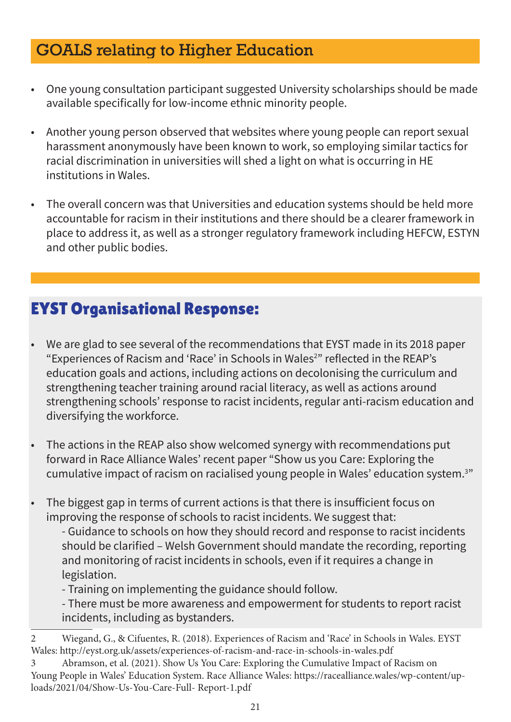# GOALS relating to Higher Education

- One young consultation participant suggested University scholarships should be made available specifically for low-income ethnic minority people.
- Another young person observed that websites where young people can report sexual harassment anonymously have been known to work, so employing similar tactics for racial discrimination in universities will shed a light on what is occurring in HE institutions in Wales.
- The overall concern was that Universities and education systems should be held more accountable for racism in their institutions and there should be a clearer framework in place to address it, as well as a stronger regulatory framework including HEFCW, ESTYN and other public bodies.

- We are glad to see several of the recommendations that EYST made in its 2018 paper "Experiences of Racism and 'Race' in Schools in Wales<sup>2</sup>" reflected in the REAP's education goals and actions, including actions on decolonising the curriculum and strengthening teacher training around racial literacy, as well as actions around strengthening schools' response to racist incidents, regular anti-racism education and diversifying the workforce.
- The actions in the REAP also show welcomed synergy with recommendations put forward in Race Alliance Wales' recent paper "Show us you Care: Exploring the cumulative impact of racism on racialised young people in Wales' education system.3 "
- The biggest gap in terms of current actions is that there is insufficient focus on improving the response of schools to racist incidents. We suggest that:
	- Guidance to schools on how they should record and response to racist incidents should be clarified – Welsh Government should mandate the recording, reporting and monitoring of racist incidents in schools, even if it requires a change in legislation.
	- Training on implementing the guidance should follow.
	- There must be more awareness and empowerment for students to report racist incidents, including as bystanders.

<sup>2</sup> Wiegand, G., & Cifuentes, R. (2018). Experiences of Racism and 'Race' in Schools in Wales. EYST Wales: http://eyst.org.uk/assets/experiences-of-racism-and-race-in-schools-in-wales.pdf

<sup>3</sup> Abramson, et al. (2021). Show Us You Care: Exploring the Cumulative Impact of Racism on Young People in Wales' Education System. Race Alliance Wales: https://racealliance.wales/wp-content/uploads/2021/04/Show-Us-You-Care-Full- Report-1.pdf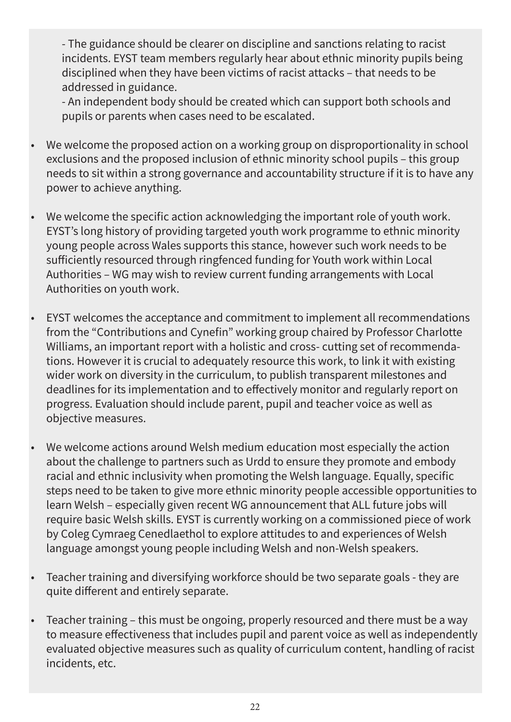- The guidance should be clearer on discipline and sanctions relating to racist incidents. EYST team members regularly hear about ethnic minority pupils being disciplined when they have been victims of racist attacks – that needs to be addressed in guidance.

- An independent body should be created which can support both schools and pupils or parents when cases need to be escalated.

- We welcome the proposed action on a working group on disproportionality in school exclusions and the proposed inclusion of ethnic minority school pupils – this group needs to sit within a strong governance and accountability structure if it is to have any power to achieve anything.
- We welcome the specific action acknowledging the important role of youth work. EYST's long history of providing targeted youth work programme to ethnic minority young people across Wales supports this stance, however such work needs to be sufficiently resourced through ringfenced funding for Youth work within Local Authorities – WG may wish to review current funding arrangements with Local Authorities on youth work.
- EYST welcomes the acceptance and commitment to implement all recommendations from the "Contributions and Cynefin" working group chaired by Professor Charlotte Williams, an important report with a holistic and cross- cutting set of recommendations. However it is crucial to adequately resource this work, to link it with existing wider work on diversity in the curriculum, to publish transparent milestones and deadlines for its implementation and to effectively monitor and regularly report on progress. Evaluation should include parent, pupil and teacher voice as well as objective measures.
- We welcome actions around Welsh medium education most especially the action about the challenge to partners such as Urdd to ensure they promote and embody racial and ethnic inclusivity when promoting the Welsh language. Equally, specific steps need to be taken to give more ethnic minority people accessible opportunities to learn Welsh – especially given recent WG announcement that ALL future jobs will require basic Welsh skills. EYST is currently working on a commissioned piece of work by Coleg Cymraeg Cenedlaethol to explore attitudes to and experiences of Welsh language amongst young people including Welsh and non-Welsh speakers.
- Teacher training and diversifying workforce should be two separate goals they are quite different and entirely separate.
- Teacher training this must be ongoing, properly resourced and there must be a way to measure effectiveness that includes pupil and parent voice as well as independently evaluated objective measures such as quality of curriculum content, handling of racist incidents, etc.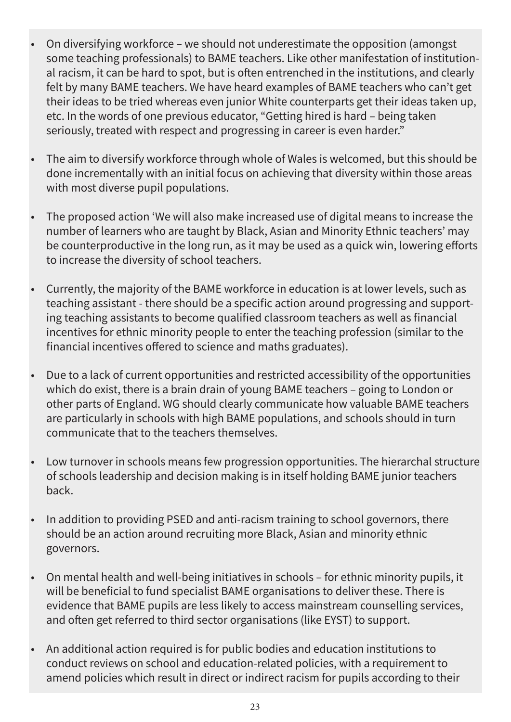- On diversifying workforce we should not underestimate the opposition (amongst some teaching professionals) to BAME teachers. Like other manifestation of institutional racism, it can be hard to spot, but is often entrenched in the institutions, and clearly felt by many BAME teachers. We have heard examples of BAME teachers who can't get their ideas to be tried whereas even junior White counterparts get their ideas taken up, etc. In the words of one previous educator, "Getting hired is hard – being taken seriously, treated with respect and progressing in career is even harder."
- The aim to diversify workforce through whole of Wales is welcomed, but this should be done incrementally with an initial focus on achieving that diversity within those areas with most diverse pupil populations.
- The proposed action 'We will also make increased use of digital means to increase the number of learners who are taught by Black, Asian and Minority Ethnic teachers' may be counterproductive in the long run, as it may be used as a quick win, lowering efforts to increase the diversity of school teachers.
- Currently, the majority of the BAME workforce in education is at lower levels, such as teaching assistant - there should be a specific action around progressing and supporting teaching assistants to become qualified classroom teachers as well as financial incentives for ethnic minority people to enter the teaching profession (similar to the financial incentives offered to science and maths graduates).
- Due to a lack of current opportunities and restricted accessibility of the opportunities which do exist, there is a brain drain of young BAME teachers – going to London or other parts of England. WG should clearly communicate how valuable BAME teachers are particularly in schools with high BAME populations, and schools should in turn communicate that to the teachers themselves.
- Low turnover in schools means few progression opportunities. The hierarchal structure of schools leadership and decision making is in itself holding BAME junior teachers back.
- In addition to providing PSED and anti-racism training to school governors, there should be an action around recruiting more Black, Asian and minority ethnic governors.
- On mental health and well-being initiatives in schools for ethnic minority pupils, it will be beneficial to fund specialist BAME organisations to deliver these. There is evidence that BAME pupils are less likely to access mainstream counselling services, and often get referred to third sector organisations (like EYST) to support.
- An additional action required is for public bodies and education institutions to conduct reviews on school and education-related policies, with a requirement to amend policies which result in direct or indirect racism for pupils according to their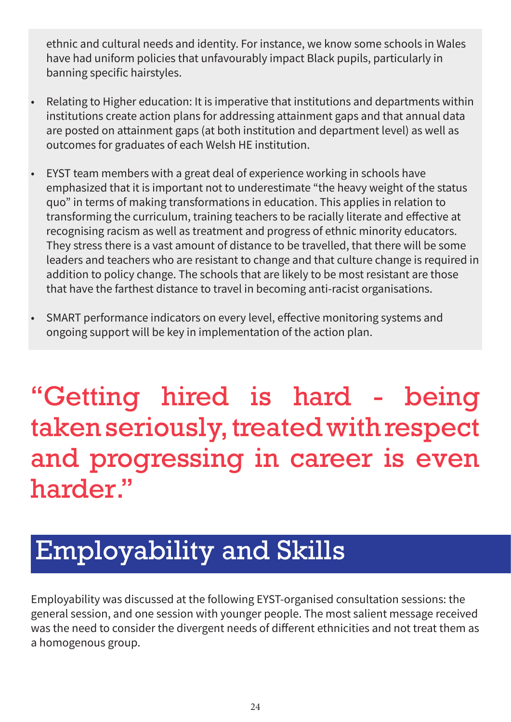ethnic and cultural needs and identity. For instance, we know some schools in Wales have had uniform policies that unfavourably impact Black pupils, particularly in banning specific hairstyles.

- Relating to Higher education: It is imperative that institutions and departments within institutions create action plans for addressing attainment gaps and that annual data are posted on attainment gaps (at both institution and department level) as well as outcomes for graduates of each Welsh HE institution.
- EYST team members with a great deal of experience working in schools have emphasized that it is important not to underestimate "the heavy weight of the status quo" in terms of making transformations in education. This applies in relation to transforming the curriculum, training teachers to be racially literate and effective at recognising racism as well as treatment and progress of ethnic minority educators. They stress there is a vast amount of distance to be travelled, that there will be some leaders and teachers who are resistant to change and that culture change is required in addition to policy change. The schools that are likely to be most resistant are those that have the farthest distance to travel in becoming anti-racist organisations.
- SMART performance indicators on every level, effective monitoring systems and ongoing support will be key in implementation of the action plan.

# "Getting hired is hard - being taken seriously, treated with respect and progressing in career is even harder."

# Employability and Skills

Employability was discussed at the following EYST-organised consultation sessions: the general session, and one session with younger people. The most salient message received was the need to consider the divergent needs of different ethnicities and not treat them as a homogenous group.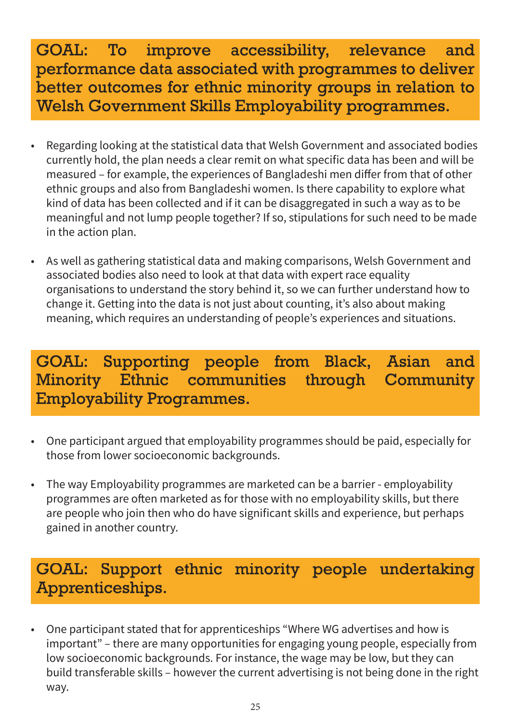# GOAL: To improve accessibility, relevance and performance data associated with programmes to deliver better outcomes for ethnic minority groups in relation to Welsh Government Skills Employability programmes.

- Regarding looking at the statistical data that Welsh Government and associated bodies currently hold, the plan needs a clear remit on what specific data has been and will be measured – for example, the experiences of Bangladeshi men differ from that of other ethnic groups and also from Bangladeshi women. Is there capability to explore what kind of data has been collected and if it can be disaggregated in such a way as to be meaningful and not lump people together? If so, stipulations for such need to be made in the action plan.
- As well as gathering statistical data and making comparisons, Welsh Government and associated bodies also need to look at that data with expert race equality organisations to understand the story behind it, so we can further understand how to change it. Getting into the data is not just about counting, it's also about making meaning, which requires an understanding of people's experiences and situations.

# GOAL: Supporting people from Black, Asian and Minority Ethnic communities through Community Employability Programmes.

- One participant argued that employability programmes should be paid, especially for those from lower socioeconomic backgrounds.
- The way Employability programmes are marketed can be a barrier employability programmes are often marketed as for those with no employability skills, but there are people who join then who do have significant skills and experience, but perhaps gained in another country.

# GOAL: Support ethnic minority people undertaking Apprenticeships.

• One participant stated that for apprenticeships "Where WG advertises and how is important" – there are many opportunities for engaging young people, especially from low socioeconomic backgrounds. For instance, the wage may be low, but they can build transferable skills – however the current advertising is not being done in the right way.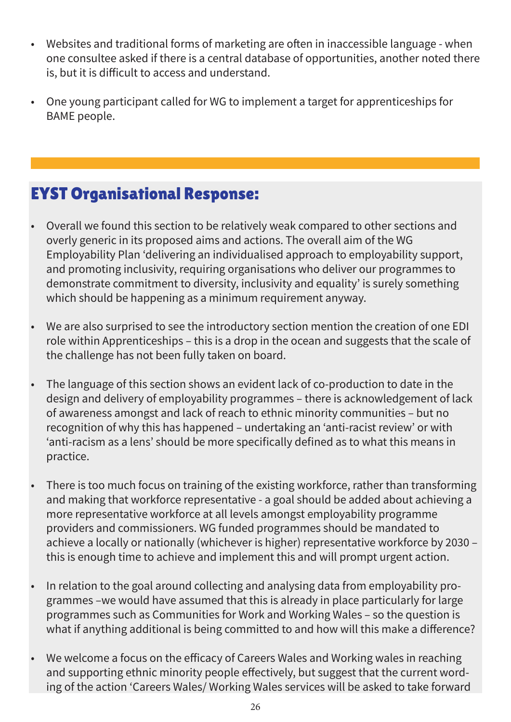- Websites and traditional forms of marketing are often in inaccessible language when one consultee asked if there is a central database of opportunities, another noted there is, but it is difficult to access and understand.
- One young participant called for WG to implement a target for apprenticeships for BAME people.

- Overall we found this section to be relatively weak compared to other sections and overly generic in its proposed aims and actions. The overall aim of the WG Employability Plan 'delivering an individualised approach to employability support, and promoting inclusivity, requiring organisations who deliver our programmes to demonstrate commitment to diversity, inclusivity and equality' is surely something which should be happening as a minimum requirement anyway.
- We are also surprised to see the introductory section mention the creation of one EDI role within Apprenticeships – this is a drop in the ocean and suggests that the scale of the challenge has not been fully taken on board.
- The language of this section shows an evident lack of co-production to date in the design and delivery of employability programmes – there is acknowledgement of lack of awareness amongst and lack of reach to ethnic minority communities – but no recognition of why this has happened – undertaking an 'anti-racist review' or with 'anti-racism as a lens' should be more specifically defined as to what this means in practice.
- There is too much focus on training of the existing workforce, rather than transforming and making that workforce representative - a goal should be added about achieving a more representative workforce at all levels amongst employability programme providers and commissioners. WG funded programmes should be mandated to achieve a locally or nationally (whichever is higher) representative workforce by 2030 – this is enough time to achieve and implement this and will prompt urgent action.
- In relation to the goal around collecting and analysing data from employability programmes –we would have assumed that this is already in place particularly for large programmes such as Communities for Work and Working Wales – so the question is what if anything additional is being committed to and how will this make a difference?
- We welcome a focus on the efficacy of Careers Wales and Working wales in reaching and supporting ethnic minority people effectively, but suggest that the current wording of the action 'Careers Wales/ Working Wales services will be asked to take forward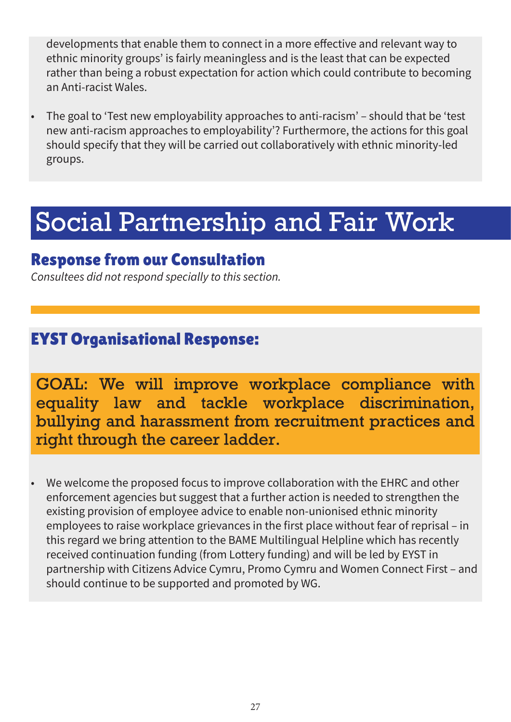developments that enable them to connect in a more effective and relevant way to ethnic minority groups' is fairly meaningless and is the least that can be expected rather than being a robust expectation for action which could contribute to becoming an Anti-racist Wales.

• The goal to 'Test new employability approaches to anti-racism' – should that be 'test new anti-racism approaches to employability'? Furthermore, the actions for this goal should specify that they will be carried out collaboratively with ethnic minority-led groups.

# Social Partnership and Fair Work

### Response from our Consultation

*Consultees did not respond specially to this section.*

# EYST Organisational Response:

GOAL: We will improve workplace compliance with equality law and tackle workplace discrimination, bullying and harassment from recruitment practices and right through the career ladder.

• We welcome the proposed focus to improve collaboration with the EHRC and other enforcement agencies but suggest that a further action is needed to strengthen the existing provision of employee advice to enable non-unionised ethnic minority employees to raise workplace grievances in the first place without fear of reprisal – in this regard we bring attention to the BAME Multilingual Helpline which has recently received continuation funding (from Lottery funding) and will be led by EYST in partnership with Citizens Advice Cymru, Promo Cymru and Women Connect First – and should continue to be supported and promoted by WG.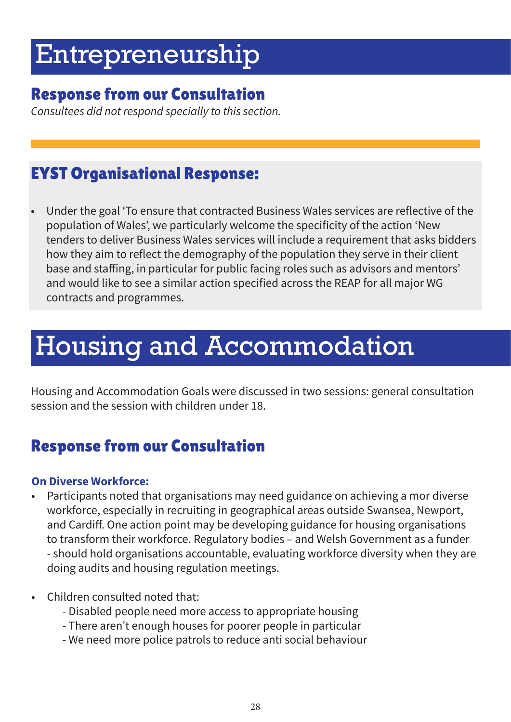# Entrepreneurship

### Response from our Consultation

*Consultees did not respond specially to this section.*

# EYST Organisational Response:

• Under the goal 'To ensure that contracted Business Wales services are reflective of the population of Wales', we particularly welcome the specificity of the action 'New tenders to deliver Business Wales services will include a requirement that asks bidders how they aim to reflect the demography of the population they serve in their client base and staffing, in particular for public facing roles such as advisors and mentors' and would like to see a similar action specified across the REAP for all major WG contracts and programmes.

# Housing and Accommodation

Housing and Accommodation Goals were discussed in two sessions: general consultation session and the session with children under 18.

# Response from our Consultation

#### **On Diverse Workforce:**

- Participants noted that organisations may need guidance on achieving a mor diverse workforce, especially in recruiting in geographical areas outside Swansea, Newport, and Cardiff. One action point may be developing guidance for housing organisations to transform their workforce. Regulatory bodies – and Welsh Government as a funder - should hold organisations accountable, evaluating workforce diversity when they are doing audits and housing regulation meetings.
- Children consulted noted that:
	- Disabled people need more access to appropriate housing
	- There aren't enough houses for poorer people in particular
	- We need more police patrols to reduce anti social behaviour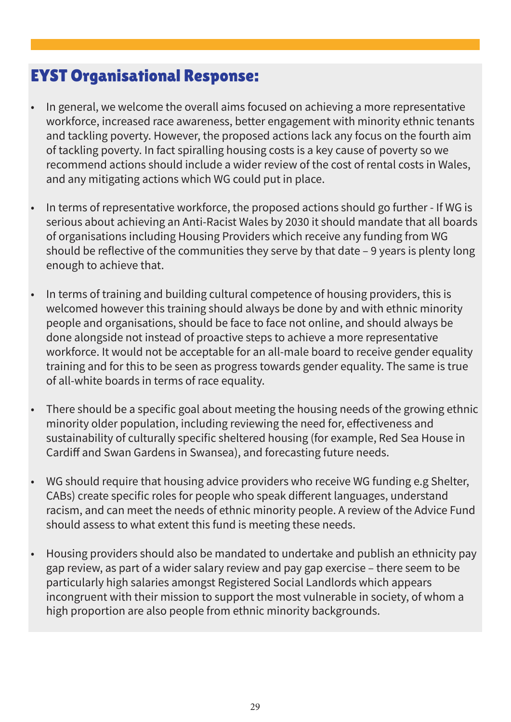- In general, we welcome the overall aims focused on achieving a more representative workforce, increased race awareness, better engagement with minority ethnic tenants and tackling poverty. However, the proposed actions lack any focus on the fourth aim of tackling poverty. In fact spiralling housing costs is a key cause of poverty so we recommend actions should include a wider review of the cost of rental costs in Wales, and any mitigating actions which WG could put in place.
- In terms of representative workforce, the proposed actions should go further If WG is serious about achieving an Anti-Racist Wales by 2030 it should mandate that all boards of organisations including Housing Providers which receive any funding from WG should be reflective of the communities they serve by that date – 9 years is plenty long enough to achieve that.
- In terms of training and building cultural competence of housing providers, this is welcomed however this training should always be done by and with ethnic minority people and organisations, should be face to face not online, and should always be done alongside not instead of proactive steps to achieve a more representative workforce. It would not be acceptable for an all-male board to receive gender equality training and for this to be seen as progress towards gender equality. The same is true of all-white boards in terms of race equality.
- There should be a specific goal about meeting the housing needs of the growing ethnic minority older population, including reviewing the need for, effectiveness and sustainability of culturally specific sheltered housing (for example, Red Sea House in Cardiff and Swan Gardens in Swansea), and forecasting future needs.
- WG should require that housing advice providers who receive WG funding e.g Shelter, CABs) create specific roles for people who speak different languages, understand racism, and can meet the needs of ethnic minority people. A review of the Advice Fund should assess to what extent this fund is meeting these needs.
- Housing providers should also be mandated to undertake and publish an ethnicity pay gap review, as part of a wider salary review and pay gap exercise – there seem to be particularly high salaries amongst Registered Social Landlords which appears incongruent with their mission to support the most vulnerable in society, of whom a high proportion are also people from ethnic minority backgrounds.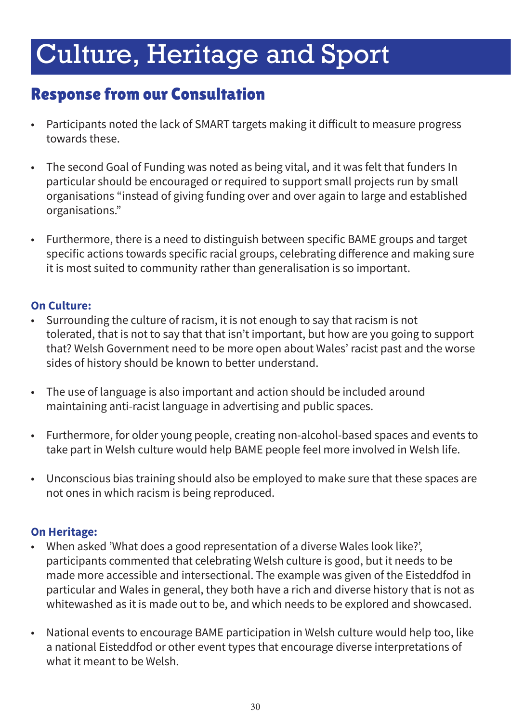# Culture, Heritage and Sport

# Response from our Consultation

- Participants noted the lack of SMART targets making it difficult to measure progress towards these.
- The second Goal of Funding was noted as being vital, and it was felt that funders In particular should be encouraged or required to support small projects run by small organisations "instead of giving funding over and over again to large and established organisations."
- Furthermore, there is a need to distinguish between specific BAME groups and target specific actions towards specific racial groups, celebrating difference and making sure it is most suited to community rather than generalisation is so important.

#### **On Culture:**

- Surrounding the culture of racism, it is not enough to say that racism is not tolerated, that is not to say that that isn't important, but how are you going to support that? Welsh Government need to be more open about Wales' racist past and the worse sides of history should be known to better understand.
- The use of language is also important and action should be included around maintaining anti-racist language in advertising and public spaces.
- Furthermore, for older young people, creating non-alcohol-based spaces and events to take part in Welsh culture would help BAME people feel more involved in Welsh life.
- Unconscious bias training should also be employed to make sure that these spaces are not ones in which racism is being reproduced.

#### **On Heritage:**

- When asked 'What does a good representation of a diverse Wales look like?', participants commented that celebrating Welsh culture is good, but it needs to be made more accessible and intersectional. The example was given of the Eisteddfod in particular and Wales in general, they both have a rich and diverse history that is not as whitewashed as it is made out to be, and which needs to be explored and showcased.
- National events to encourage BAME participation in Welsh culture would help too, like a national Eisteddfod or other event types that encourage diverse interpretations of what it meant to be Welsh.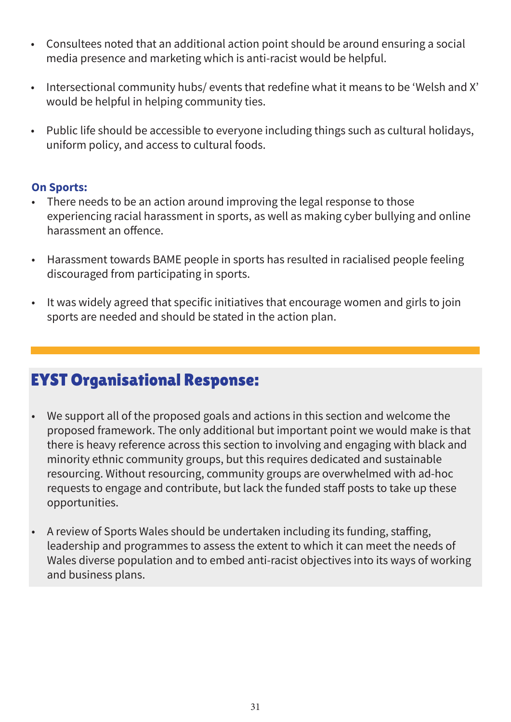- Consultees noted that an additional action point should be around ensuring a social media presence and marketing which is anti-racist would be helpful.
- Intersectional community hubs/ events that redefine what it means to be 'Welsh and X' would be helpful in helping community ties.
- Public life should be accessible to everyone including things such as cultural holidays, uniform policy, and access to cultural foods.

#### **On Sports:**

- There needs to be an action around improving the legal response to those experiencing racial harassment in sports, as well as making cyber bullying and online harassment an offence.
- Harassment towards BAME people in sports has resulted in racialised people feeling discouraged from participating in sports.
- It was widely agreed that specific initiatives that encourage women and girls to join sports are needed and should be stated in the action plan.

- We support all of the proposed goals and actions in this section and welcome the proposed framework. The only additional but important point we would make is that there is heavy reference across this section to involving and engaging with black and minority ethnic community groups, but this requires dedicated and sustainable resourcing. Without resourcing, community groups are overwhelmed with ad-hoc requests to engage and contribute, but lack the funded staff posts to take up these opportunities.
- A review of Sports Wales should be undertaken including its funding, staffing, leadership and programmes to assess the extent to which it can meet the needs of Wales diverse population and to embed anti-racist objectives into its ways of working and business plans.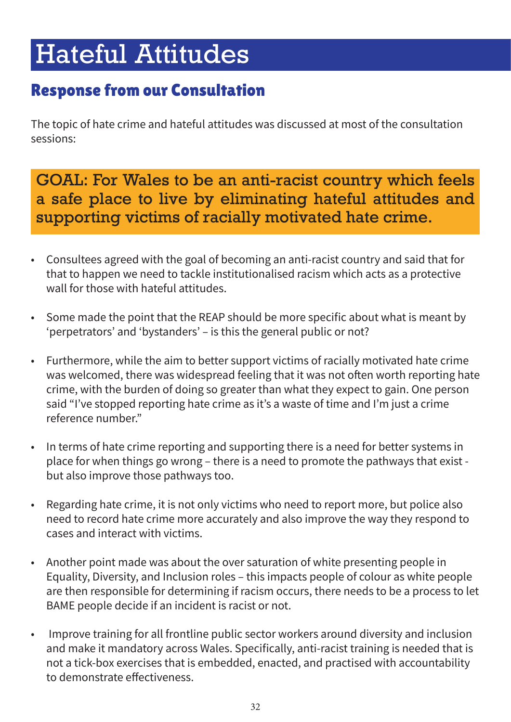# Hateful Attitudes

# Response from our Consultation

The topic of hate crime and hateful attitudes was discussed at most of the consultation sessions:

GOAL: For Wales to be an anti-racist country which feels a safe place to live by eliminating hateful attitudes and supporting victims of racially motivated hate crime.

- Consultees agreed with the goal of becoming an anti-racist country and said that for that to happen we need to tackle institutionalised racism which acts as a protective wall for those with hateful attitudes.
- Some made the point that the REAP should be more specific about what is meant by 'perpetrators' and 'bystanders' – is this the general public or not?
- Furthermore, while the aim to better support victims of racially motivated hate crime was welcomed, there was widespread feeling that it was not often worth reporting hate crime, with the burden of doing so greater than what they expect to gain. One person said "I've stopped reporting hate crime as it's a waste of time and I'm just a crime reference number."
- In terms of hate crime reporting and supporting there is a need for better systems in place for when things go wrong – there is a need to promote the pathways that exist but also improve those pathways too.
- Regarding hate crime, it is not only victims who need to report more, but police also need to record hate crime more accurately and also improve the way they respond to cases and interact with victims.
- Another point made was about the over saturation of white presenting people in Equality, Diversity, and Inclusion roles – this impacts people of colour as white people are then responsible for determining if racism occurs, there needs to be a process to let BAME people decide if an incident is racist or not.
- Improve training for all frontline public sector workers around diversity and inclusion and make it mandatory across Wales. Specifically, anti-racist training is needed that is not a tick-box exercises that is embedded, enacted, and practised with accountability to demonstrate effectiveness.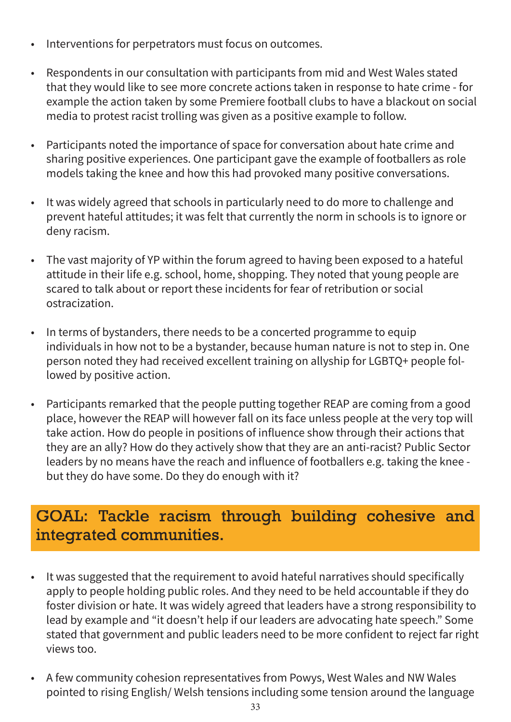- Interventions for perpetrators must focus on outcomes.
- Respondents in our consultation with participants from mid and West Wales stated that they would like to see more concrete actions taken in response to hate crime - for example the action taken by some Premiere football clubs to have a blackout on social media to protest racist trolling was given as a positive example to follow.
- Participants noted the importance of space for conversation about hate crime and sharing positive experiences. One participant gave the example of footballers as role models taking the knee and how this had provoked many positive conversations.
- It was widely agreed that schools in particularly need to do more to challenge and prevent hateful attitudes; it was felt that currently the norm in schools is to ignore or deny racism.
- The vast majority of YP within the forum agreed to having been exposed to a hateful attitude in their life e.g. school, home, shopping. They noted that young people are scared to talk about or report these incidents for fear of retribution or social ostracization.
- In terms of bystanders, there needs to be a concerted programme to equip individuals in how not to be a bystander, because human nature is not to step in. One person noted they had received excellent training on allyship for LGBTQ+ people followed by positive action.
- Participants remarked that the people putting together REAP are coming from a good place, however the REAP will however fall on its face unless people at the very top will take action. How do people in positions of influence show through their actions that they are an ally? How do they actively show that they are an anti-racist? Public Sector leaders by no means have the reach and influence of footballers e.g. taking the knee but they do have some. Do they do enough with it?

### GOAL: Tackle racism through building cohesive and integrated communities.

- It was suggested that the requirement to avoid hateful narratives should specifically apply to people holding public roles. And they need to be held accountable if they do foster division or hate. It was widely agreed that leaders have a strong responsibility to lead by example and "it doesn't help if our leaders are advocating hate speech." Some stated that government and public leaders need to be more confident to reject far right views too.
- A few community cohesion representatives from Powys, West Wales and NW Wales pointed to rising English/ Welsh tensions including some tension around the language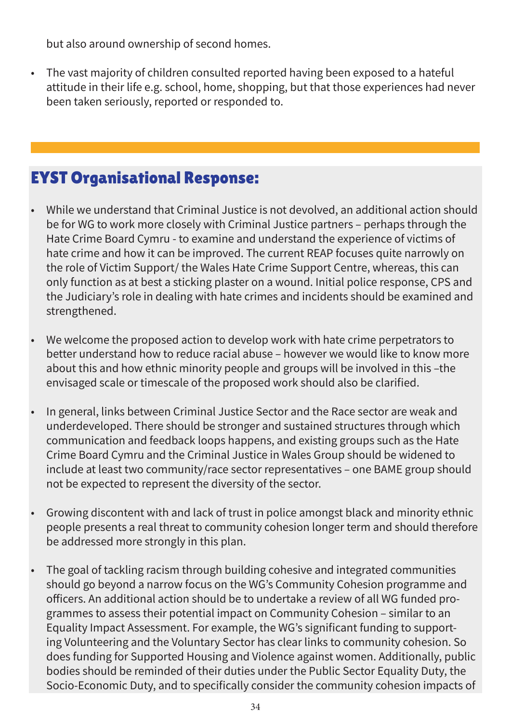but also around ownership of second homes.

• The vast majority of children consulted reported having been exposed to a hateful attitude in their life e.g. school, home, shopping, but that those experiences had never been taken seriously, reported or responded to.

- While we understand that Criminal Justice is not devolved, an additional action should be for WG to work more closely with Criminal Justice partners – perhaps through the Hate Crime Board Cymru - to examine and understand the experience of victims of hate crime and how it can be improved. The current REAP focuses quite narrowly on the role of Victim Support/ the Wales Hate Crime Support Centre, whereas, this can only function as at best a sticking plaster on a wound. Initial police response, CPS and the Judiciary's role in dealing with hate crimes and incidents should be examined and strengthened.
- We welcome the proposed action to develop work with hate crime perpetrators to better understand how to reduce racial abuse – however we would like to know more about this and how ethnic minority people and groups will be involved in this –the envisaged scale or timescale of the proposed work should also be clarified.
- In general, links between Criminal Justice Sector and the Race sector are weak and underdeveloped. There should be stronger and sustained structures through which communication and feedback loops happens, and existing groups such as the Hate Crime Board Cymru and the Criminal Justice in Wales Group should be widened to include at least two community/race sector representatives – one BAME group should not be expected to represent the diversity of the sector.
- Growing discontent with and lack of trust in police amongst black and minority ethnic people presents a real threat to community cohesion longer term and should therefore be addressed more strongly in this plan.
- The goal of tackling racism through building cohesive and integrated communities should go beyond a narrow focus on the WG's Community Cohesion programme and officers. An additional action should be to undertake a review of all WG funded programmes to assess their potential impact on Community Cohesion – similar to an Equality Impact Assessment. For example, the WG's significant funding to supporting Volunteering and the Voluntary Sector has clear links to community cohesion. So does funding for Supported Housing and Violence against women. Additionally, public bodies should be reminded of their duties under the Public Sector Equality Duty, the Socio-Economic Duty, and to specifically consider the community cohesion impacts of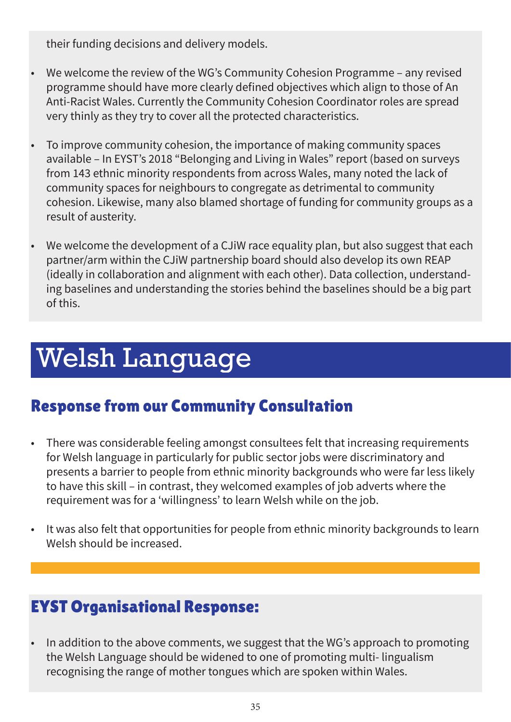their funding decisions and delivery models.

- We welcome the review of the WG's Community Cohesion Programme any revised programme should have more clearly defined objectives which align to those of An Anti-Racist Wales. Currently the Community Cohesion Coordinator roles are spread very thinly as they try to cover all the protected characteristics.
- To improve community cohesion, the importance of making community spaces available – In EYST's 2018 "Belonging and Living in Wales" report (based on surveys from 143 ethnic minority respondents from across Wales, many noted the lack of community spaces for neighbours to congregate as detrimental to community cohesion. Likewise, many also blamed shortage of funding for community groups as a result of austerity.
- We welcome the development of a CJiW race equality plan, but also suggest that each partner/arm within the CJiW partnership board should also develop its own REAP (ideally in collaboration and alignment with each other). Data collection, understanding baselines and understanding the stories behind the baselines should be a big part of this.

# Welsh Language

# Response from our Community Consultation

- There was considerable feeling amongst consultees felt that increasing requirements for Welsh language in particularly for public sector jobs were discriminatory and presents a barrier to people from ethnic minority backgrounds who were far less likely to have this skill – in contrast, they welcomed examples of job adverts where the requirement was for a 'willingness' to learn Welsh while on the job.
- It was also felt that opportunities for people from ethnic minority backgrounds to learn Welsh should be increased.

# EYST Organisational Response:

• In addition to the above comments, we suggest that the WG's approach to promoting the Welsh Language should be widened to one of promoting multi- lingualism recognising the range of mother tongues which are spoken within Wales.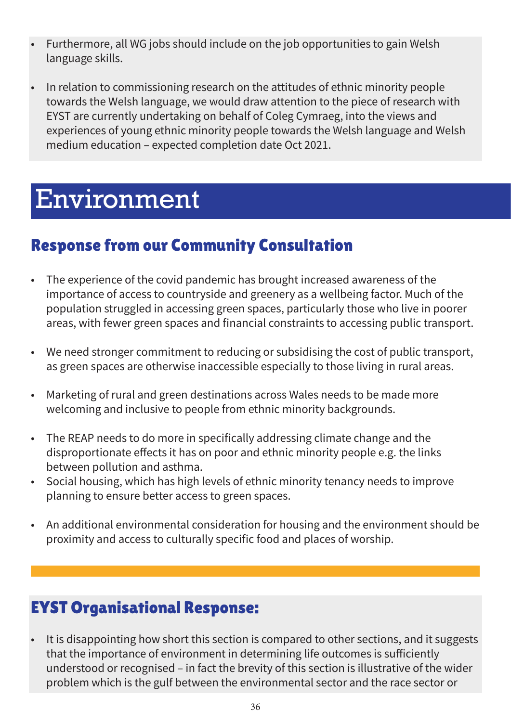- Furthermore, all WG jobs should include on the job opportunities to gain Welsh language skills.
- In relation to commissioning research on the attitudes of ethnic minority people towards the Welsh language, we would draw attention to the piece of research with EYST are currently undertaking on behalf of Coleg Cymraeg, into the views and experiences of young ethnic minority people towards the Welsh language and Welsh medium education – expected completion date Oct 2021.

# Environment

# Response from our Community Consultation

- The experience of the covid pandemic has brought increased awareness of the importance of access to countryside and greenery as a wellbeing factor. Much of the population struggled in accessing green spaces, particularly those who live in poorer areas, with fewer green spaces and financial constraints to accessing public transport.
- We need stronger commitment to reducing or subsidising the cost of public transport, as green spaces are otherwise inaccessible especially to those living in rural areas.
- Marketing of rural and green destinations across Wales needs to be made more welcoming and inclusive to people from ethnic minority backgrounds.
- The REAP needs to do more in specifically addressing climate change and the disproportionate effects it has on poor and ethnic minority people e.g. the links between pollution and asthma.
- Social housing, which has high levels of ethnic minority tenancy needs to improve planning to ensure better access to green spaces.
- An additional environmental consideration for housing and the environment should be proximity and access to culturally specific food and places of worship.

# EYST Organisational Response:

It is disappointing how short this section is compared to other sections, and it suggests that the importance of environment in determining life outcomes is sufficiently understood or recognised – in fact the brevity of this section is illustrative of the wider problem which is the gulf between the environmental sector and the race sector or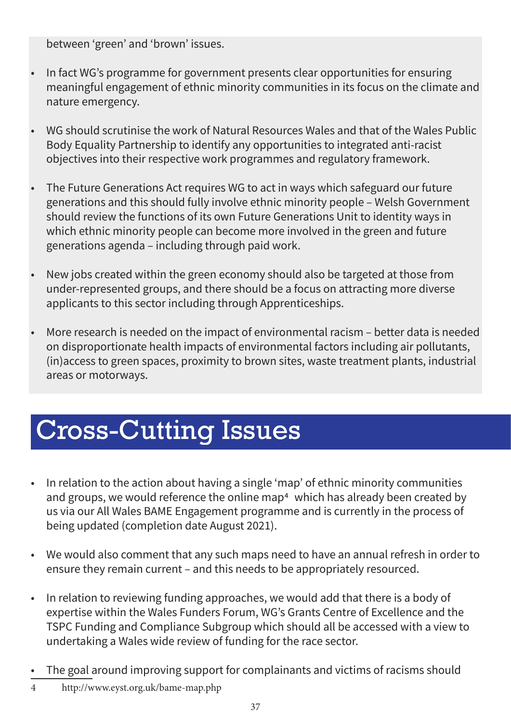between 'green' and 'brown' issues.

- In fact WG's programme for government presents clear opportunities for ensuring meaningful engagement of ethnic minority communities in its focus on the climate and nature emergency.
- WG should scrutinise the work of Natural Resources Wales and that of the Wales Public Body Equality Partnership to identify any opportunities to integrated anti-racist objectives into their respective work programmes and regulatory framework.
- The Future Generations Act requires WG to act in ways which safeguard our future generations and this should fully involve ethnic minority people – Welsh Government should review the functions of its own Future Generations Unit to identity ways in which ethnic minority people can become more involved in the green and future generations agenda – including through paid work.
- New jobs created within the green economy should also be targeted at those from under-represented groups, and there should be a focus on attracting more diverse applicants to this sector including through Apprenticeships.
- More research is needed on the impact of environmental racism better data is needed on disproportionate health impacts of environmental factors including air pollutants, (in)access to green spaces, proximity to brown sites, waste treatment plants, industrial areas or motorways.

# Cross-Cutting Issues

- In relation to the action about having a single 'map' of ethnic minority communities and groups, we would reference the online map<sup>4</sup> which has already been created by us via our All Wales BAME Engagement programme and is currently in the process of being updated (completion date August 2021).
- We would also comment that any such maps need to have an annual refresh in order to ensure they remain current – and this needs to be appropriately resourced.
- In relation to reviewing funding approaches, we would add that there is a body of expertise within the Wales Funders Forum, WG's Grants Centre of Excellence and the TSPC Funding and Compliance Subgroup which should all be accessed with a view to undertaking a Wales wide review of funding for the race sector.
- The goal around improving support for complainants and victims of racisms should
- 4 http://www.eyst.org.uk/bame-map.php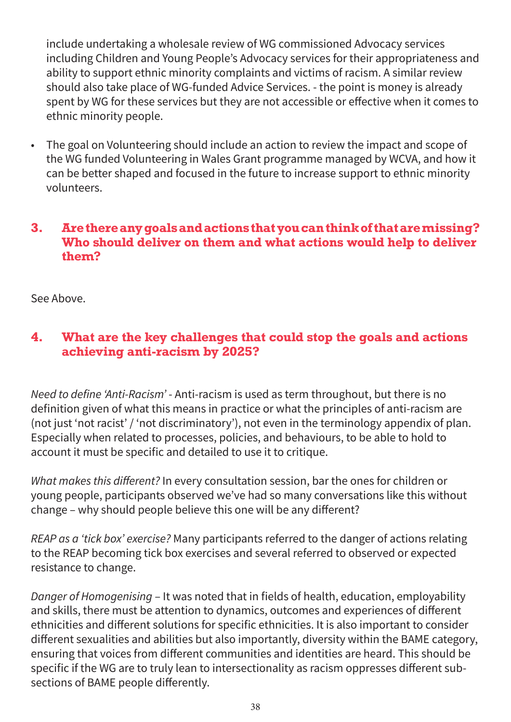include undertaking a wholesale review of WG commissioned Advocacy services including Children and Young People's Advocacy services for their appropriateness and ability to support ethnic minority complaints and victims of racism. A similar review should also take place of WG-funded Advice Services. - the point is money is already spent by WG for these services but they are not accessible or effective when it comes to ethnic minority people.

• The goal on Volunteering should include an action to review the impact and scope of the WG funded Volunteering in Wales Grant programme managed by WCVA, and how it can be better shaped and focused in the future to increase support to ethnic minority volunteers.

#### **3. Are there any goals and actions that you can think of that are missing? Who should deliver on them and what actions would help to deliver them?**

See Above.

#### **4. What are the key challenges that could stop the goals and actions achieving anti-racism by 2025?**

*Need to define 'Anti-Racism'* - Anti-racism is used as term throughout, but there is no definition given of what this means in practice or what the principles of anti-racism are (not just 'not racist' / 'not discriminatory'), not even in the terminology appendix of plan. Especially when related to processes, policies, and behaviours, to be able to hold to account it must be specific and detailed to use it to critique.

*What makes this different?* In every consultation session, bar the ones for children or young people, participants observed we've had so many conversations like this without change – why should people believe this one will be any different?

*REAP as a 'tick box' exercise?* Many participants referred to the danger of actions relating to the REAP becoming tick box exercises and several referred to observed or expected resistance to change.

*Danger of Homogenising* – It was noted that in fields of health, education, employability and skills, there must be attention to dynamics, outcomes and experiences of different ethnicities and different solutions for specific ethnicities. It is also important to consider different sexualities and abilities but also importantly, diversity within the BAME category, ensuring that voices from different communities and identities are heard. This should be specific if the WG are to truly lean to intersectionality as racism oppresses different subsections of BAME people differently.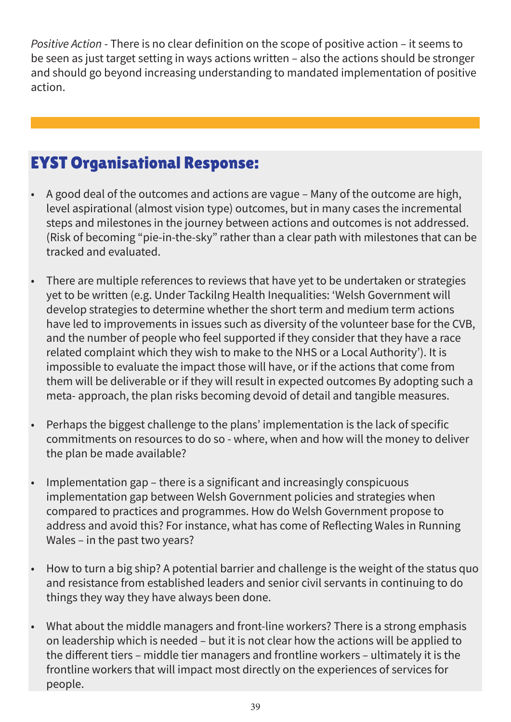*Positive Action* - There is no clear definition on the scope of positive action – it seems to be seen as just target setting in ways actions written – also the actions should be stronger and should go beyond increasing understanding to mandated implementation of positive action.

- A good deal of the outcomes and actions are vague Many of the outcome are high, level aspirational (almost vision type) outcomes, but in many cases the incremental steps and milestones in the journey between actions and outcomes is not addressed. (Risk of becoming "pie-in-the-sky" rather than a clear path with milestones that can be tracked and evaluated.
- There are multiple references to reviews that have yet to be undertaken or strategies yet to be written (e.g. Under Tackilng Health Inequalities: 'Welsh Government will develop strategies to determine whether the short term and medium term actions have led to improvements in issues such as diversity of the volunteer base for the CVB, and the number of people who feel supported if they consider that they have a race related complaint which they wish to make to the NHS or a Local Authority'). It is impossible to evaluate the impact those will have, or if the actions that come from them will be deliverable or if they will result in expected outcomes By adopting such a meta- approach, the plan risks becoming devoid of detail and tangible measures.
- Perhaps the biggest challenge to the plans' implementation is the lack of specific commitments on resources to do so - where, when and how will the money to deliver the plan be made available?
- Implementation gap there is a significant and increasingly conspicuous implementation gap between Welsh Government policies and strategies when compared to practices and programmes. How do Welsh Government propose to address and avoid this? For instance, what has come of Reflecting Wales in Running Wales – in the past two years?
- How to turn a big ship? A potential barrier and challenge is the weight of the status quo and resistance from established leaders and senior civil servants in continuing to do things they way they have always been done.
- What about the middle managers and front-line workers? There is a strong emphasis on leadership which is needed – but it is not clear how the actions will be applied to the different tiers – middle tier managers and frontline workers – ultimately it is the frontline workers that will impact most directly on the experiences of services for people.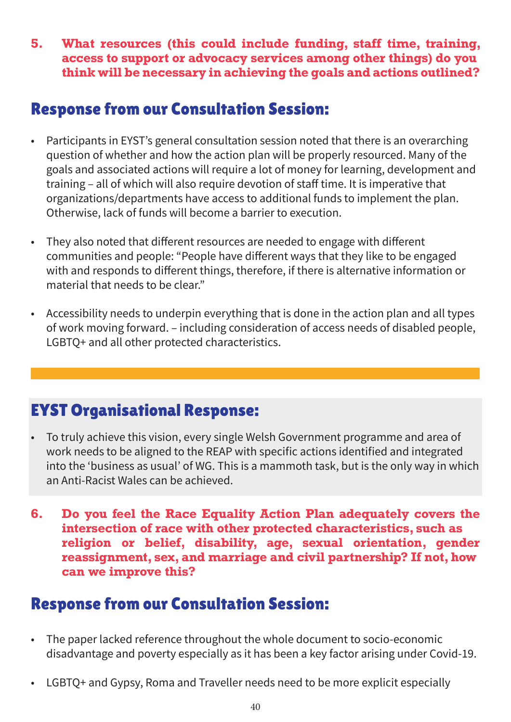**5. What resources (this could include funding, staff time, training, access to support or advocacy services among other things) do you think will be necessary in achieving the goals and actions outlined?**

### Response from our Consultation Session:

- Participants in EYST's general consultation session noted that there is an overarching question of whether and how the action plan will be properly resourced. Many of the goals and associated actions will require a lot of money for learning, development and training – all of which will also require devotion of staff time. It is imperative that organizations/departments have access to additional funds to implement the plan. Otherwise, lack of funds will become a barrier to execution.
- They also noted that different resources are needed to engage with different communities and people: "People have different ways that they like to be engaged with and responds to different things, therefore, if there is alternative information or material that needs to be clear."
- Accessibility needs to underpin everything that is done in the action plan and all types of work moving forward. – including consideration of access needs of disabled people, LGBTQ+ and all other protected characteristics.

# EYST Organisational Response:

- To truly achieve this vision, every single Welsh Government programme and area of work needs to be aligned to the REAP with specific actions identified and integrated into the 'business as usual' of WG. This is a mammoth task, but is the only way in which an Anti-Racist Wales can be achieved.
- **6. Do you feel the Race Equality Action Plan adequately covers the intersection of race with other protected characteristics, such as religion or belief, disability, age, sexual orientation, gender reassignment, sex, and marriage and civil partnership? If not, how can we improve this?**

# Response from our Consultation Session:

- The paper lacked reference throughout the whole document to socio-economic disadvantage and poverty especially as it has been a key factor arising under Covid-19.
- LGBTQ+ and Gypsy, Roma and Traveller needs need to be more explicit especially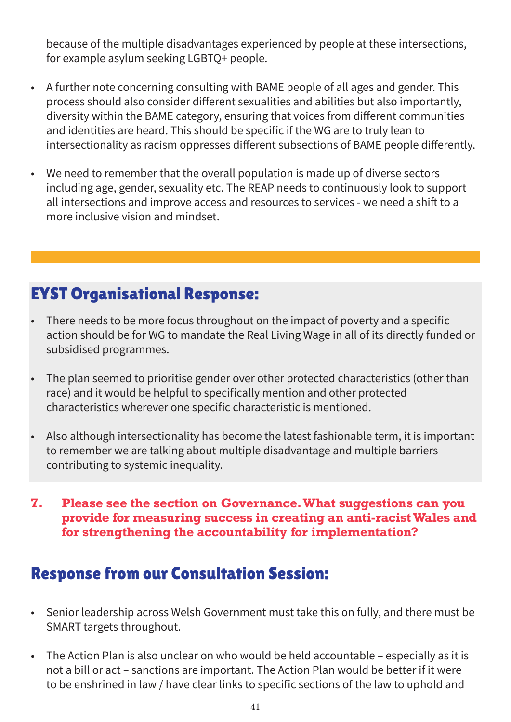because of the multiple disadvantages experienced by people at these intersections, for example asylum seeking LGBTQ+ people.

- A further note concerning consulting with BAME people of all ages and gender. This process should also consider different sexualities and abilities but also importantly, diversity within the BAME category, ensuring that voices from different communities and identities are heard. This should be specific if the WG are to truly lean to intersectionality as racism oppresses different subsections of BAME people differently.
- We need to remember that the overall population is made up of diverse sectors including age, gender, sexuality etc. The REAP needs to continuously look to support all intersections and improve access and resources to services - we need a shift to a more inclusive vision and mindset.

# EYST Organisational Response:

- There needs to be more focus throughout on the impact of poverty and a specific action should be for WG to mandate the Real Living Wage in all of its directly funded or subsidised programmes.
- The plan seemed to prioritise gender over other protected characteristics (other than race) and it would be helpful to specifically mention and other protected characteristics wherever one specific characteristic is mentioned.
- Also although intersectionality has become the latest fashionable term, it is important to remember we are talking about multiple disadvantage and multiple barriers contributing to systemic inequality.
- **7. Please see the section on Governance. What suggestions can you provide for measuring success in creating an anti-racist Wales and for strengthening the accountability for implementation?**

# Response from our Consultation Session:

- Senior leadership across Welsh Government must take this on fully, and there must be SMART targets throughout.
- The Action Plan is also unclear on who would be held accountable especially as it is not a bill or act – sanctions are important. The Action Plan would be better if it were to be enshrined in law / have clear links to specific sections of the law to uphold and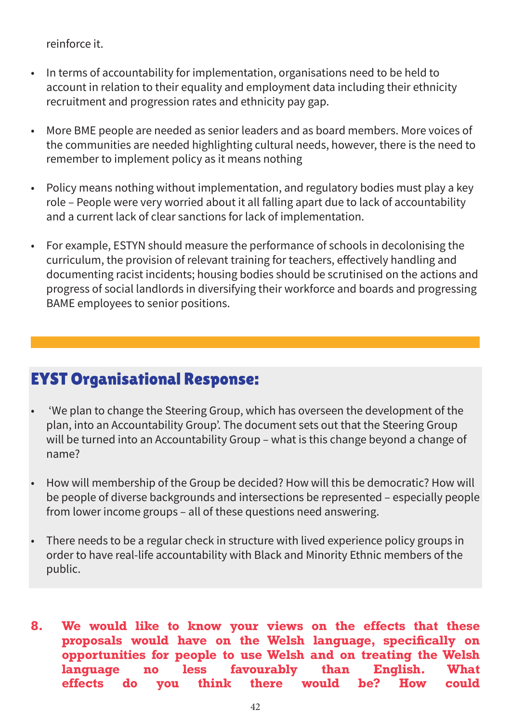reinforce it.

- In terms of accountability for implementation, organisations need to be held to account in relation to their equality and employment data including their ethnicity recruitment and progression rates and ethnicity pay gap.
- More BME people are needed as senior leaders and as board members. More voices of the communities are needed highlighting cultural needs, however, there is the need to remember to implement policy as it means nothing
- Policy means nothing without implementation, and regulatory bodies must play a key role – People were very worried about it all falling apart due to lack of accountability and a current lack of clear sanctions for lack of implementation.
- For example, ESTYN should measure the performance of schools in decolonising the curriculum, the provision of relevant training for teachers, effectively handling and documenting racist incidents; housing bodies should be scrutinised on the actions and progress of social landlords in diversifying their workforce and boards and progressing BAME employees to senior positions.

- 'We plan to change the Steering Group, which has overseen the development of the plan, into an Accountability Group'. The document sets out that the Steering Group will be turned into an Accountability Group – what is this change beyond a change of name?
- How will membership of the Group be decided? How will this be democratic? How will be people of diverse backgrounds and intersections be represented – especially people from lower income groups – all of these questions need answering.
- There needs to be a regular check in structure with lived experience policy groups in order to have real-life accountability with Black and Minority Ethnic members of the public.
- **8. We would like to know your views on the effects that these proposals would have on the Welsh language, specifically on opportunities for people to use Welsh and on treating the Welsh language no less favourably than English. What effects do you think there would be? How could**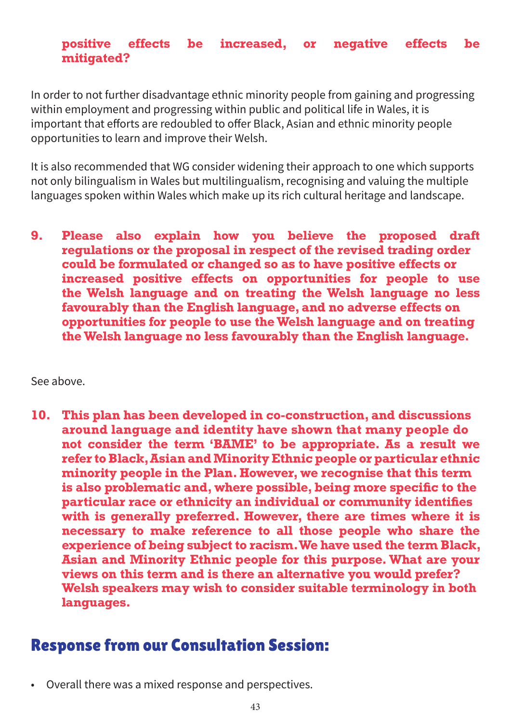#### **positive effects be increased, or negative effects be mitigated?**

In order to not further disadvantage ethnic minority people from gaining and progressing within employment and progressing within public and political life in Wales, it is important that efforts are redoubled to offer Black, Asian and ethnic minority people opportunities to learn and improve their Welsh.

It is also recommended that WG consider widening their approach to one which supports not only bilingualism in Wales but multilingualism, recognising and valuing the multiple languages spoken within Wales which make up its rich cultural heritage and landscape.

**9. Please also explain how you believe the proposed draft regulations or the proposal in respect of the revised trading order could be formulated or changed so as to have positive effects or increased positive effects on opportunities for people to use the Welsh language and on treating the Welsh language no less favourably than the English language, and no adverse effects on opportunities for people to use the Welsh language and on treating the Welsh language no less favourably than the English language.**

See above.

**10. This plan has been developed in co-construction, and discussions around language and identity have shown that many people do not consider the term 'BAME' to be appropriate. As a result we refer to Black,Asian andMinority Ethnic people or particular ethnic minority people in the Plan. However, we recognise that this term is also problematic and, where possible, being more specific to the particular race or ethnicity an individual or community identifies with is generally preferred. However, there are times where it is necessary to make reference to all those people who share the experience of being subject to racism.We have used the term Black, Asian and Minority Ethnic people for this purpose. What are your views on this term and is there an alternative you would prefer? Welsh speakers may wish to consider suitable terminology in both languages.**

### Response from our Consultation Session:

• Overall there was a mixed response and perspectives.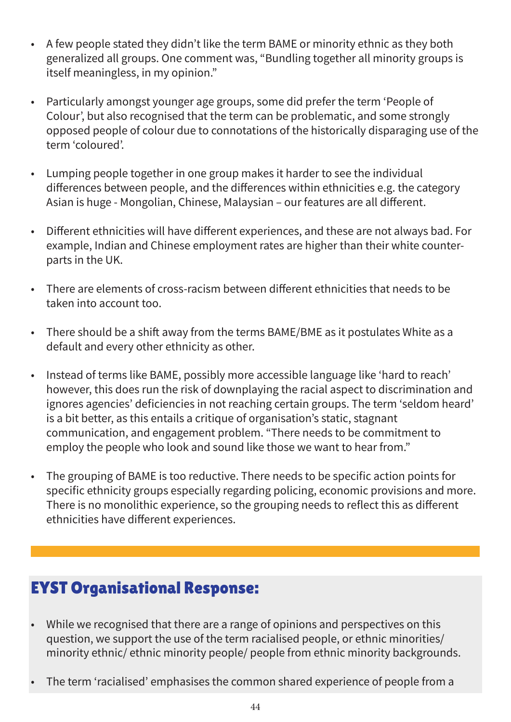- A few people stated they didn't like the term BAME or minority ethnic as they both generalized all groups. One comment was, "Bundling together all minority groups is itself meaningless, in my opinion."
- Particularly amongst younger age groups, some did prefer the term 'People of Colour', but also recognised that the term can be problematic, and some strongly opposed people of colour due to connotations of the historically disparaging use of the term 'coloured'.
- Lumping people together in one group makes it harder to see the individual differences between people, and the differences within ethnicities e.g. the category Asian is huge - Mongolian, Chinese, Malaysian – our features are all different.
- Different ethnicities will have different experiences, and these are not always bad. For example, Indian and Chinese employment rates are higher than their white counterparts in the UK.
- There are elements of cross-racism between different ethnicities that needs to be taken into account too.
- There should be a shift away from the terms BAME/BME as it postulates White as a default and every other ethnicity as other.
- Instead of terms like BAME, possibly more accessible language like 'hard to reach' however, this does run the risk of downplaying the racial aspect to discrimination and ignores agencies' deficiencies in not reaching certain groups. The term 'seldom heard' is a bit better, as this entails a critique of organisation's static, stagnant communication, and engagement problem. "There needs to be commitment to employ the people who look and sound like those we want to hear from."
- The grouping of BAME is too reductive. There needs to be specific action points for specific ethnicity groups especially regarding policing, economic provisions and more. There is no monolithic experience, so the grouping needs to reflect this as different ethnicities have different experiences.

- While we recognised that there are a range of opinions and perspectives on this question, we support the use of the term racialised people, or ethnic minorities/ minority ethnic/ ethnic minority people/ people from ethnic minority backgrounds.
- The term 'racialised' emphasises the common shared experience of people from a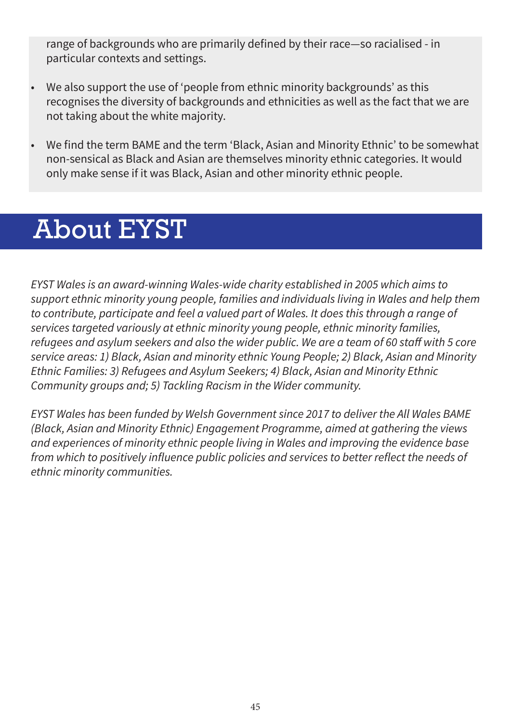range of backgrounds who are primarily defined by their race—so racialised - in particular contexts and settings.

- We also support the use of 'people from ethnic minority backgrounds' as this recognises the diversity of backgrounds and ethnicities as well as the fact that we are not taking about the white majority.
- We find the term BAME and the term 'Black, Asian and Minority Ethnic' to be somewhat non-sensical as Black and Asian are themselves minority ethnic categories. It would only make sense if it was Black, Asian and other minority ethnic people.

# About EYST

*EYST Wales is an award-winning Wales-wide charity established in 2005 which aims to support ethnic minority young people, families and individuals living in Wales and help them to contribute, participate and feel a valued part of Wales. It does this through a range of services targeted variously at ethnic minority young people, ethnic minority families, refugees and asylum seekers and also the wider public. We are a team of 60 staff with 5 core service areas: 1) Black, Asian and minority ethnic Young People; 2) Black, Asian and Minority Ethnic Families: 3) Refugees and Asylum Seekers; 4) Black, Asian and Minority Ethnic Community groups and; 5) Tackling Racism in the Wider community.*

*EYST Wales has been funded by Welsh Government since 2017 to deliver the All Wales BAME (Black, Asian and Minority Ethnic) Engagement Programme, aimed at gathering the views and experiences of minority ethnic people living in Wales and improving the evidence base from which to positively influence public policies and services to better reflect the needs of ethnic minority communities.*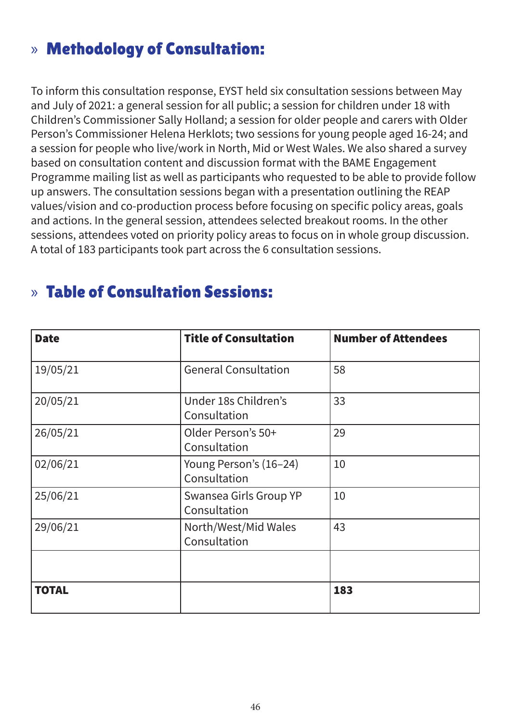# » Methodology of Consultation:

To inform this consultation response, EYST held six consultation sessions between May and July of 2021: a general session for all public; a session for children under 18 with Children's Commissioner Sally Holland; a session for older people and carers with Older Person's Commissioner Helena Herklots; two sessions for young people aged 16-24; and a session for people who live/work in North, Mid or West Wales. We also shared a survey based on consultation content and discussion format with the BAME Engagement Programme mailing list as well as participants who requested to be able to provide follow up answers. The consultation sessions began with a presentation outlining the REAP values/vision and co-production process before focusing on specific policy areas, goals and actions. In the general session, attendees selected breakout rooms. In the other sessions, attendees voted on priority policy areas to focus on in whole group discussion. A total of 183 participants took part across the 6 consultation sessions.

# » Table of Consultation Sessions:

| <b>Date</b>  | <b>Title of Consultation</b>           | <b>Number of Attendees</b> |
|--------------|----------------------------------------|----------------------------|
| 19/05/21     | <b>General Consultation</b>            | 58                         |
| 20/05/21     | Under 18s Children's<br>Consultation   | 33                         |
| 26/05/21     | Older Person's 50+<br>Consultation     | 29                         |
| 02/06/21     | Young Person's (16-24)<br>Consultation | 10                         |
| 25/06/21     | Swansea Girls Group YP<br>Consultation | 10                         |
| 29/06/21     | North/West/Mid Wales<br>Consultation   | 43                         |
|              |                                        |                            |
| <b>TOTAL</b> |                                        | 183                        |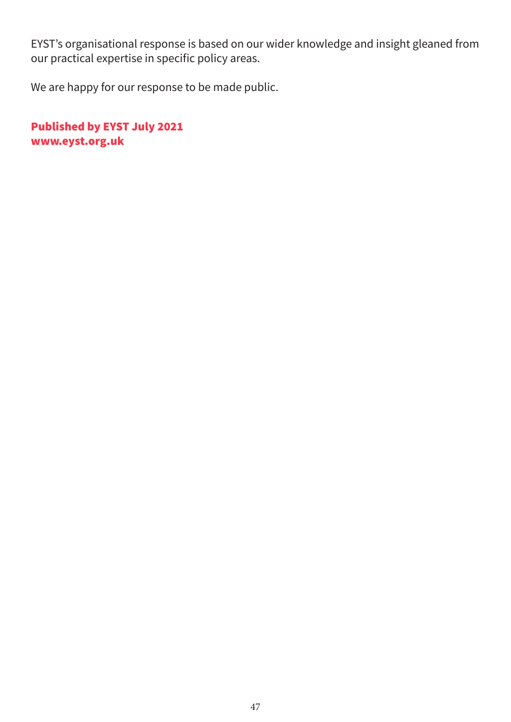EYST's organisational response is based on our wider knowledge and insight gleaned from our practical expertise in specific policy areas.

We are happy for our response to be made public.

Published by EYST July 2021 www.eyst.org.uk